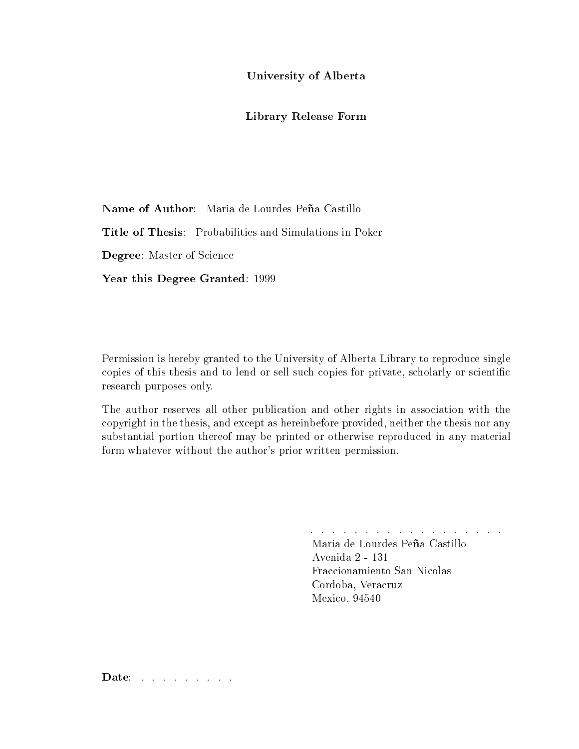University of Alberta

#### Library Release Form

Name of Author: Maria de Lourdes Peña Castillo

Title of Thesis: Probabilities and Simulations in Poker

Degree: Master of Science

Year this Degree Granted: 1999

Permission is hereby granted to the University of Alberta Library to reproduce single copies of this thesis and to lend or sell such copies for private, scholarly or scientific resear
h purposes only.

The author reserves all other publication and other rights in association with the opyright in the thesis, and ex
ept as hereinbefore provided, neither the thesis nor any substantial portion thereof may be printed or otherwise reprodu
ed in any material form whatever without the author's prior written permission.

. . . . . . . . . . . . . . . . . .

Maria de Lourdes Peña Castillo Avenida 2 - 131 Fraccionamiento San Nicolas Cordoba, Veracruz Mexico, 94540

Date: . . . . . . . .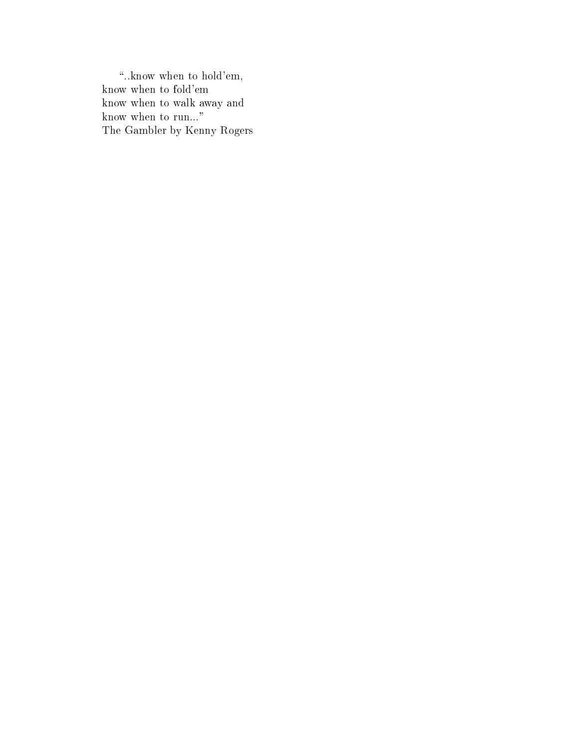"..know when to hold'em, know when to fold'em know when to walk away and know when to run..." The Gambler by Kenny Rogers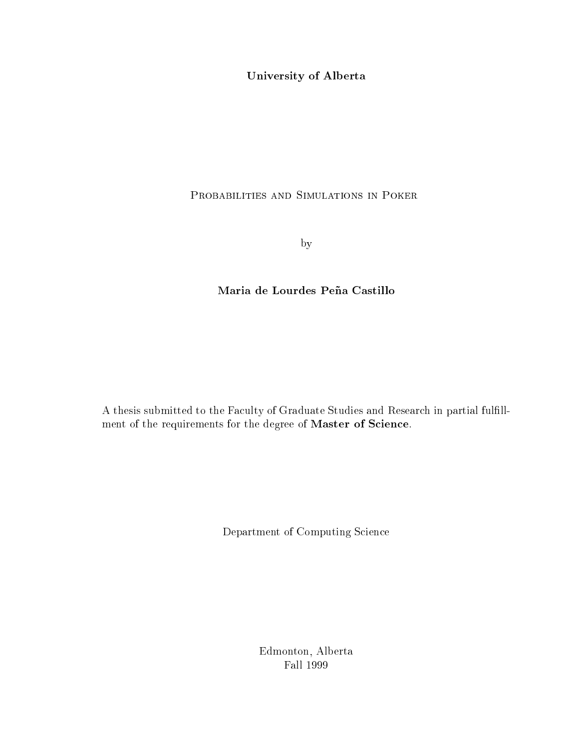University of Alberta

### PROBABILITIES AND SIMULATIONS IN POKER

by

### Maria de Lourdes Peña Castillo

A thesis submitted to the Faculty of Graduate Studies and Research in partial fulfillment of the requirements for the degree of Master of Science.

Department of Computing Science

Edmonton, Alberta Fall 1999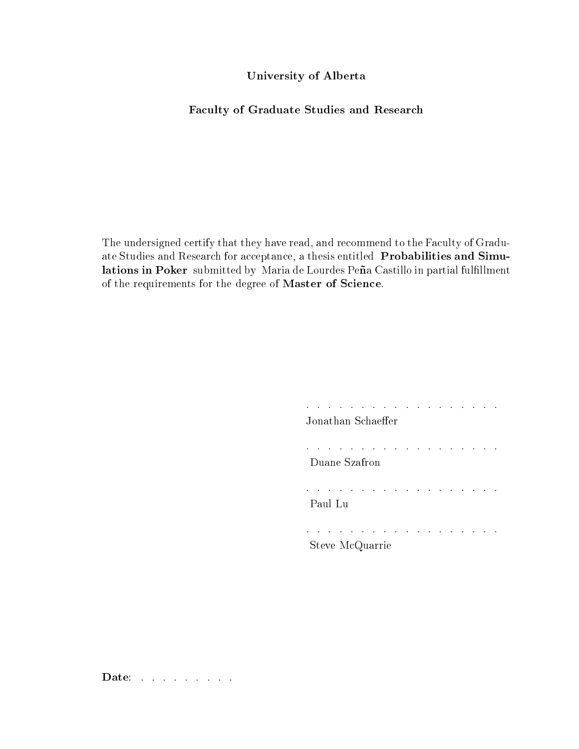#### University of Alberta

#### Faculty of Graduate Studies and Research

The undersigned certify that they have read, and recommend to the Faculty of Graduate Studies and Research for acceptance, a thesis entitled Probabilities and Simulations in Poker submitted by Maria de Lourdes Peña Castillo in partial fulfillment of the requirements for the degree of Master of Science.

| Jonathan Schaeffer |  |  |  |  |  |
|--------------------|--|--|--|--|--|
| Duane Szafron      |  |  |  |  |  |
| Paul Lu            |  |  |  |  |  |
| Steve McQuarrie    |  |  |  |  |  |

Date: . . . . . . . . .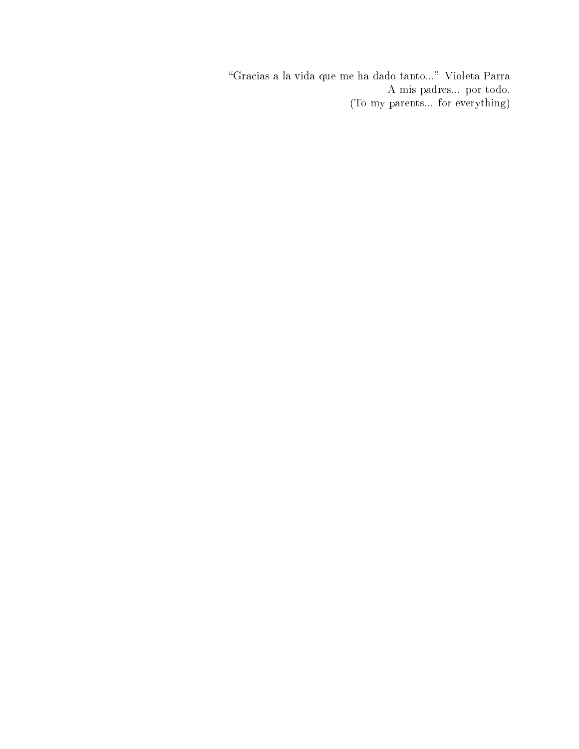"Gracias a la vida que me ha dado tanto..." Violeta Parra A mis padres... por todo. (To my parents... for everything)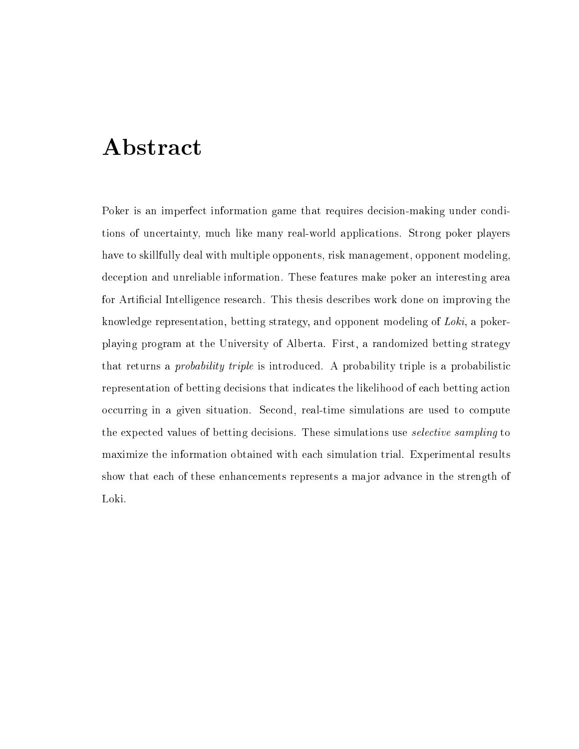# **Abstract**

Poker is an imperfect information game that requires decision-making under conditions of un
ertainty, mu
h like many real-world appli
ations. Strong poker players have to skillfully deal with multiple opponents, risk management, opponent modeling, de
eption and unreliable information. These features make poker an interesting area for Artificial Intelligence research. This thesis describes work done on improving the knowledge representation, betting strategy, and opponent modeling of Loki, a pokerplaying program at the University of Alberta. First, a randomized betting strategy that returns a *probability triple* is introduced. A probability triple is a probabilistic representation of betting decisions that indicates the likelihood of each betting action occurring in a given situation. Second, real-time simulations are used to compute the expected values of betting decisions. These simulations use *selective sampling* to maximize the information obtained with each simulation trial. Experimental results show that each of these enhancements represents a major advance in the strength of Loki.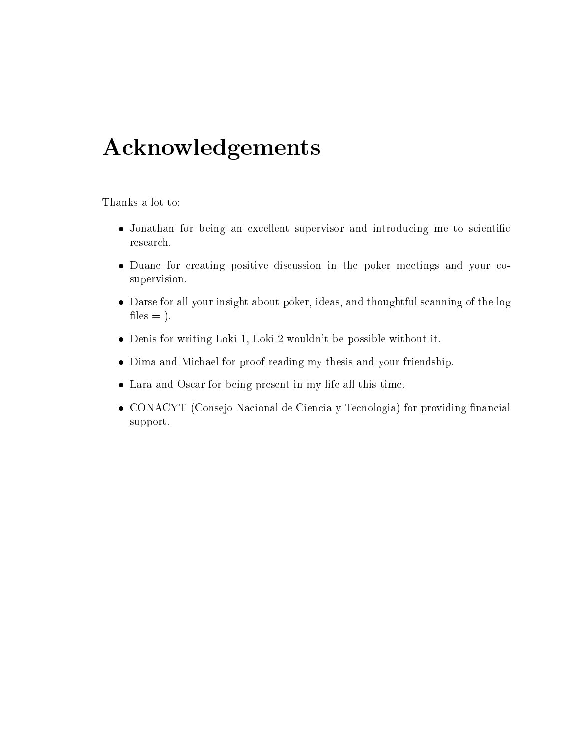# A
knowledgements

Thanks a lot to:

- Jonathan for being an excellent supervisor and introducing me to scientific resear
h.
- Duane for creating positive discussion in the poker meetings and your cosupervision.
- Darse for all your insight about poker, ideas, and thoughtful s
anning of the log files  $=$ .
- Denis for writing Loki-1, Loki-2 wouldn't be possible without it.
- Dima and Mi
hael for proof-reading my thesis and your friendship.
- Lara and Oscar for being present in my life all this time.
- CONACYT (Consejo Nacional de Ciencia y Tecnologia) for providing financial support.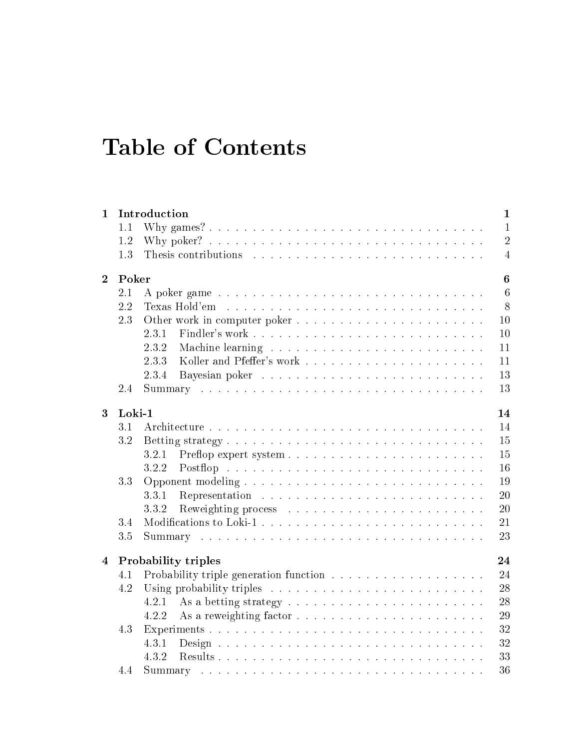# Table of Contents

| $\mathbf{1}$   |        | Introduction                                                         | $\mathbf{1}$     |  |  |  |  |  |
|----------------|--------|----------------------------------------------------------------------|------------------|--|--|--|--|--|
|                | 1.1    |                                                                      | $\mathbf{1}$     |  |  |  |  |  |
|                | 1.2    |                                                                      | $\overline{2}$   |  |  |  |  |  |
|                | 1.3    |                                                                      | $\overline{4}$   |  |  |  |  |  |
| $\overline{2}$ | Poker  |                                                                      | $\boldsymbol{6}$ |  |  |  |  |  |
|                | 2.1    | A poker game                                                         | $6\phantom{.}6$  |  |  |  |  |  |
|                | 2.2    | Texas Hold'em reconstruction and the reconstruction of Texas Hold'em | 8                |  |  |  |  |  |
|                | 2.3    |                                                                      | 10               |  |  |  |  |  |
|                |        | 2.3.1                                                                | 10               |  |  |  |  |  |
|                |        | 2.3.2                                                                | 11               |  |  |  |  |  |
|                |        | 2.3.3                                                                | 11               |  |  |  |  |  |
|                |        | 2.3.4                                                                | 13               |  |  |  |  |  |
|                | 2.4    |                                                                      | 13               |  |  |  |  |  |
| 3              | Loki-1 | 14                                                                   |                  |  |  |  |  |  |
|                | 3.1    |                                                                      | 14               |  |  |  |  |  |
|                | 3.2    |                                                                      | 15               |  |  |  |  |  |
|                |        | 3.2.1                                                                | 15               |  |  |  |  |  |
|                |        | 3.2.2                                                                | 16               |  |  |  |  |  |
|                | 3.3    |                                                                      | 19               |  |  |  |  |  |
|                |        | 3.3.1                                                                | 20               |  |  |  |  |  |
|                |        | 3.3.2                                                                | 20               |  |  |  |  |  |
|                | 3.4    |                                                                      | 21               |  |  |  |  |  |
|                | 3.5    |                                                                      | 23               |  |  |  |  |  |
|                |        |                                                                      |                  |  |  |  |  |  |
| $\overline{4}$ |        | <b>Probability triples</b>                                           | 24               |  |  |  |  |  |
|                | 4.1    |                                                                      | 24               |  |  |  |  |  |
|                | 4.2    |                                                                      | 28               |  |  |  |  |  |
|                |        | 4.2.1                                                                | 28               |  |  |  |  |  |
|                |        | 4.2.2                                                                | 29               |  |  |  |  |  |
|                | 4.3    | Experiments                                                          | 32               |  |  |  |  |  |
|                |        | 4.3.1                                                                | 32               |  |  |  |  |  |
|                |        | 4.3.2                                                                | 33               |  |  |  |  |  |
|                | 4.4    |                                                                      | 36               |  |  |  |  |  |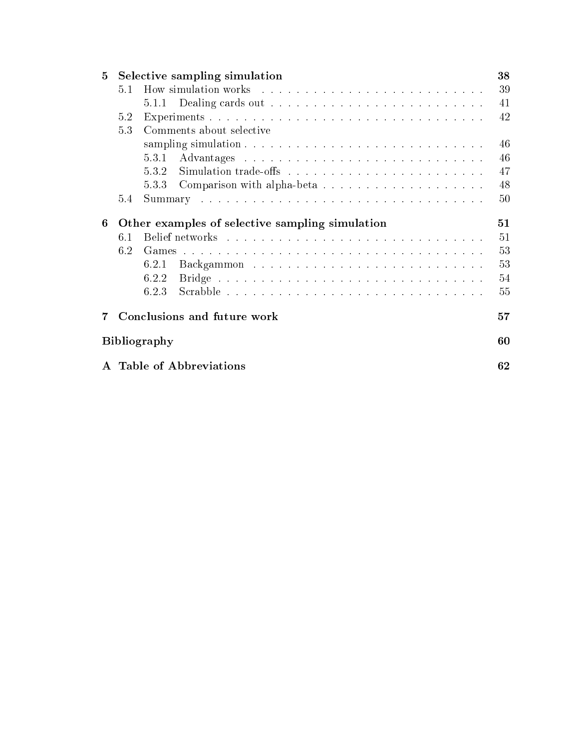| $\mathbf{5}$ | Selective sampling simulation<br>38             |                                                                                                                                                                                                                               |    |  |  |  |
|--------------|-------------------------------------------------|-------------------------------------------------------------------------------------------------------------------------------------------------------------------------------------------------------------------------------|----|--|--|--|
|              | 5.1                                             | How simulation works response to the contract of the set of the set of the set of the set of the set of the set of the set of the set of the set of the set of the set of the set of the set of the set of the set of the set | 39 |  |  |  |
|              |                                                 |                                                                                                                                                                                                                               | 41 |  |  |  |
|              | 5.2                                             |                                                                                                                                                                                                                               | 42 |  |  |  |
|              | 5.3<br>Comments about selective                 |                                                                                                                                                                                                                               |    |  |  |  |
|              |                                                 |                                                                                                                                                                                                                               | 46 |  |  |  |
|              |                                                 | 5.3.1                                                                                                                                                                                                                         | 46 |  |  |  |
|              |                                                 | 5.3.2                                                                                                                                                                                                                         | 47 |  |  |  |
|              |                                                 | 5.3.3<br>Comparison with alpha-beta                                                                                                                                                                                           | 48 |  |  |  |
|              | 5.4                                             |                                                                                                                                                                                                                               | 50 |  |  |  |
|              | 51                                              |                                                                                                                                                                                                                               |    |  |  |  |
| 6            | Other examples of selective sampling simulation |                                                                                                                                                                                                                               |    |  |  |  |
|              | 6.1                                             |                                                                                                                                                                                                                               | 51 |  |  |  |
|              | 6.2                                             |                                                                                                                                                                                                                               | 53 |  |  |  |
|              |                                                 | 6.2.1                                                                                                                                                                                                                         | 53 |  |  |  |
|              |                                                 | 6.2.2                                                                                                                                                                                                                         | 54 |  |  |  |
|              |                                                 | 6.2.3                                                                                                                                                                                                                         | 55 |  |  |  |
|              | Conclusions and future work<br>57               |                                                                                                                                                                                                                               |    |  |  |  |
|              | <b>Bibliography</b>                             |                                                                                                                                                                                                                               |    |  |  |  |
|              | <b>Table of Abbreviations</b>                   |                                                                                                                                                                                                                               |    |  |  |  |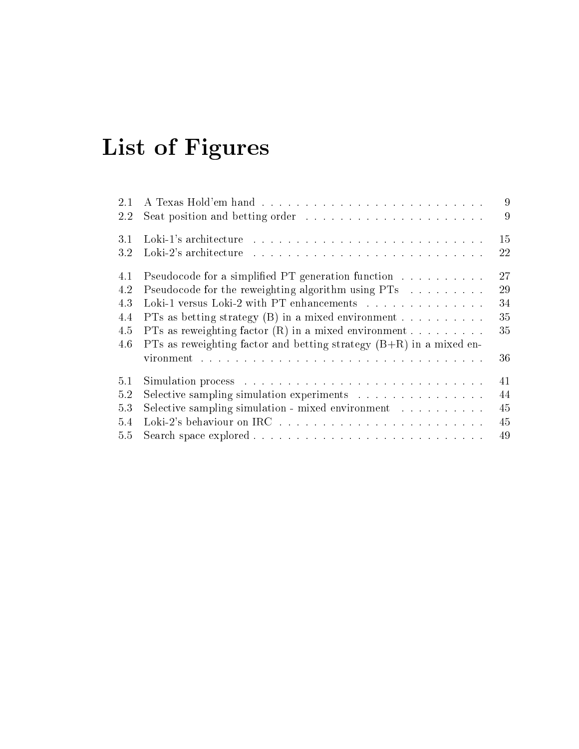# List of Figures

| 9<br>15<br>a se construir a construir a construir a construir a construir a construir a construir a construir a construir |
|---------------------------------------------------------------------------------------------------------------------------|
|                                                                                                                           |
|                                                                                                                           |
| 22                                                                                                                        |
| 27<br>Pseudocode for a simplified PT generation function                                                                  |
| 29<br>Pseudocode for the reweighting algorithm using PTs                                                                  |
| Loki-1 versus Loki-2 with PT enhancements<br>34                                                                           |
| 35<br>PTs as betting strategy $(B)$ in a mixed environment                                                                |
| PTs as reweighting factor $(R)$ in a mixed environment<br>35                                                              |
|                                                                                                                           |
| 36                                                                                                                        |
| 41                                                                                                                        |
| 44<br>Selective sampling simulation experiments                                                                           |
| 45<br>Selective sampling simulation - mixed environment                                                                   |
| 45                                                                                                                        |
| 49                                                                                                                        |
| PTs as reweighting factor and betting strategy $(B+R)$ in a mixed en-                                                     |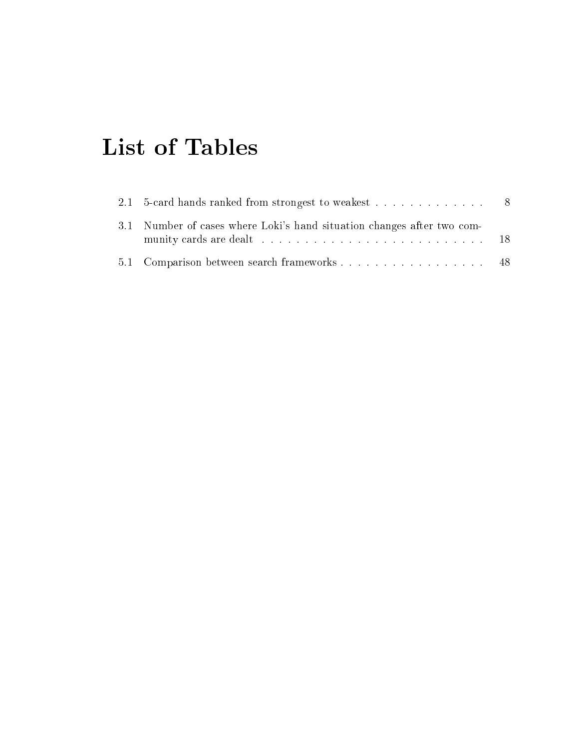# List of Tables

| 2.1 5-card hands ranked from strongest to weakest 8                    |  |
|------------------------------------------------------------------------|--|
| 3.1 Number of cases where Loki's hand situation changes after two com- |  |
| 5.1 Comparison between search frameworks 48                            |  |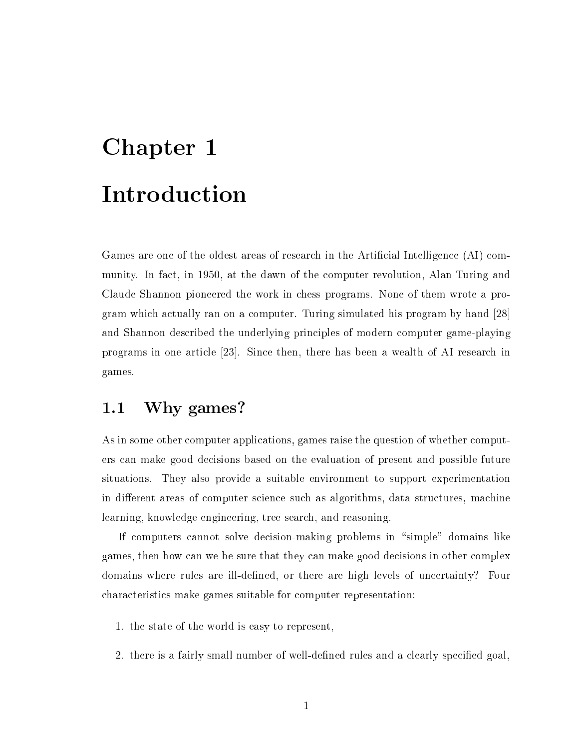# Chapter 1 **Introduction**

Games are one of the oldest areas of research in the Artificial Intelligence (AI) community. In fa
t, in 1950, at the dawn of the omputer revolution, Alan Turing and Claude Shannon pioneered the work in hess programs. None of them wrote a program which actually ran on a computer. Turing simulated his program by hand [28] and Shannon described the underlying principles of modern computer game-playing programs in one article  $[23]$ . Since then, there has been a wealth of AI research in games.

#### Why games?  $1.1$

As in some other computer applications, games raise the question of whether computers an make good de
isions based on the evaluation of present and possible future situations. They also provide a suitable environment to support experimentation in different areas of computer science such as algorithms, data structures, machine learning, knowledge engineering, tree sear
h, and reasoning.

If computers cannot solve decision-making problems in "simple" domains like games, then how an we be sure that they an make good de
isions in other omplex domains where rules are ill-defined, or there are high levels of uncertainty? Four hara
teristi
s make games suitable for omputer representation:

- 1. the state of the world is easy to represent,
- 2. there is a fairly small number of well-defined rules and a clearly specified goal,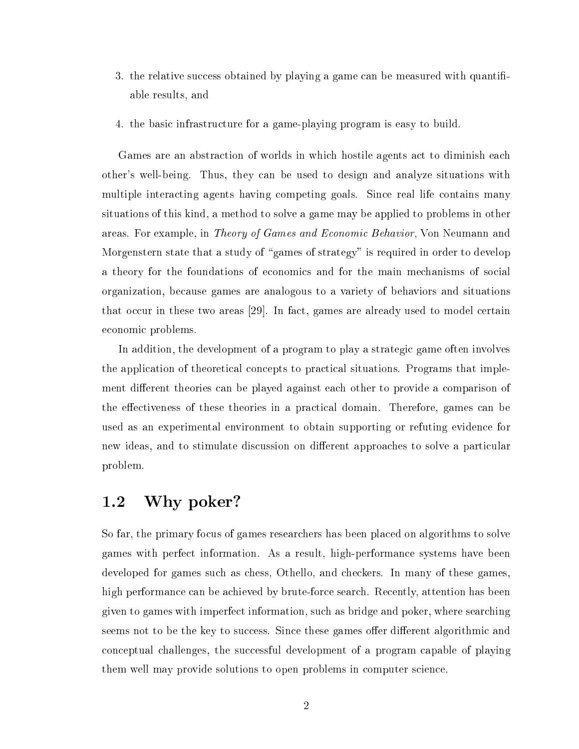- 3. the relative success obtained by playing a game can be measured with quantifiable results, and
- 4. the basi infrastru
ture for a game-playing program is easy to build.

Games are an abstraction of worlds in which hostile agents act to diminish each other's well-being. Thus, they an be used to design and analyze situations with multiple interacting agents having competing goals. Since real life contains many situations of this kind, a method to solve a game may be applied to problems in other areas. For example, in *Theory of Games and Economic Behavior*, Von Neumann and Morgenstern state that a study of "games of strategy" is required in order to develop a theory for the foundations of economics and for the main mechanisms of social organization, be
ause games are analogous to a variety of behaviors and situations that occur in these two areas  $[29]$ . In fact, games are already used to model certain economic problems.

In addition, the development of a program to play a strategi game often involves the application of theoretical concepts to practical situations. Programs that implement different theories can be played against each other to provide a comparison of the effectiveness of these theories in a practical domain. Therefore, games can be used as an experimental environment to obtain supporting or refuting eviden
e for new ideas, and to stimulate discussion on different approaches to solve a particular problem.

## 1.2 Why poker?

So far, the primary focus of games researchers has been placed on algorithms to solve games with perfe
t information. As a result, high-performan
e systems have been developed for games such as chess, Othello, and checkers. In many of these games, high performance can be achieved by brute-force search. Recently, attention has been given to games with imperfe
t information, su
h as bridge and poker, where sear
hing seems not to be the key to success. Since these games offer different algorithmic and conceptual challenges, the successful development of a program capable of playing them well may provide solutions to open problems in computer science.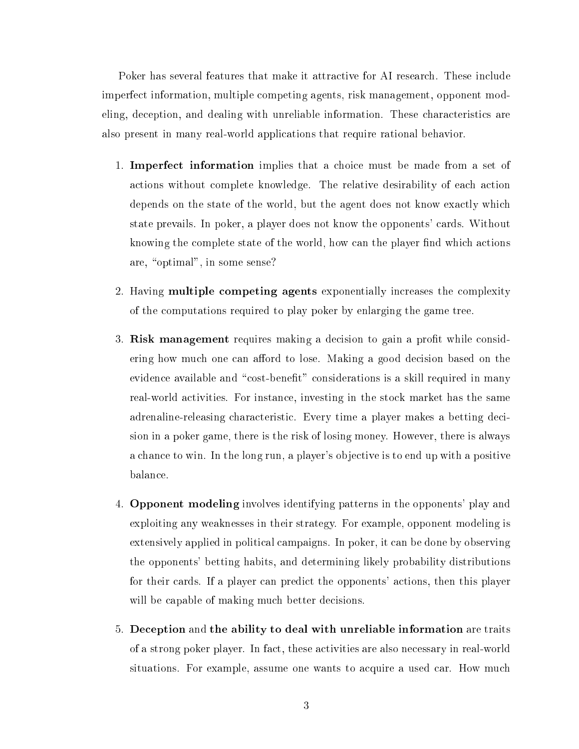Poker has several features that make it attractive for AI research. These include imperfe
t information, multiple ompeting agents, risk management, opponent modeling, deception, and dealing with unreliable information. These characteristics are also present in many real-world appli
ations that require rational behavior.

- 1. Imperfe
t information implies that a hoi
e must be made from a set of a
tions without omplete knowledge. The relative desirability of ea
h a
tion depends on the state of the world, but the agent does not know exactly which state prevails. In poker, a player does not know the opponents' cards. Without knowing the complete state of the world, how can the player find which actions are, "optimal", in some sense?
- 2. Having **multiple competing agents** exponentially increases the complexity of the omputations required to play poker by enlarging the game tree.
- 3. Risk management requires making a decision to gain a profit while considering how much one can afford to lose. Making a good decision based on the evidence available and "cost-benefit" considerations is a skill required in many real-world a
tivities. For instan
e, investing in the sto
k market has the same adrenaline-releasing hara
teristi
. Every time a player makes a betting de
ision in a poker game, there is the risk of losing money. However, there is always a han
e to win. In the long run, a player's obje
tive is to end up with a positive balan
e.
- 4. Opponent modeling involves identifying patterns in the opponents' play and exploiting any weaknesses in their strategy. For example, opponent modeling is extensively applied in politi
al ampaigns. In poker, it an be done by observing the opponents' betting habits, and determining likely probability distributions for their ards. If a player an predi
t the opponents' a
tions, then this player will be capable of making much better decisions.
- 5. De
eption and the ability to deal with unreliable information are traits of a strong poker player. In fa
t, these a
tivities are also ne
essary in real-world situations. For example, assume one wants to acquire a used car. How much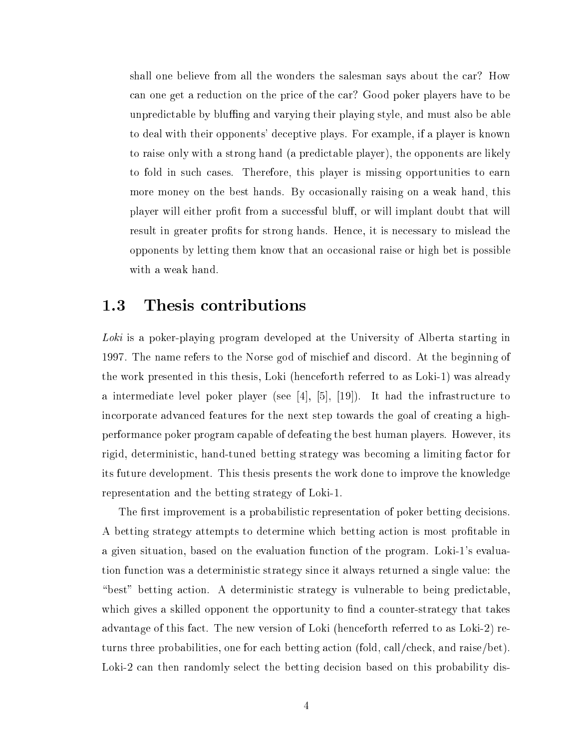shall one believe from all the wonders the salesman says about the car? How an one get a redu
tion on the pri
e of the ar? Good poker players have to be unpredictable by bluffing and varying their playing style, and must also be able to deal with their opponents' de
eptive plays. For example, if a player is known to raise only with a strong hand (a predi
table player), the opponents are likely to fold in su
h ases. Therefore, this player is missing opportunities to earn more money on the best hands. By occasionally raising on a weak hand, this player will either profit from a successful bluff, or will implant doubt that will result in greater profits for strong hands. Hence, it is necessary to mislead the opponents by letting them know that an occasional raise or high bet is possible with a weak hand.

#### 1.3 Thesis contributions

Loki is a poker-playing program developed at the University of Alberta starting in 1997. The name refers to the Norse god of mis
hief and dis
ord. At the beginning of the work presented in this thesis, Loki (hen
eforth referred to as Loki-1) was already a intermediate level poker player (see [4], [5], [19]). It had the infrastructure to incorporate advanced features for the next step towards the goal of creating a highperforman
e poker program apable of defeating the best human players. However, its rigid, deterministi
, hand-tuned betting strategy was be
oming a limiting fa
tor for its future development. This thesis presents the work done to improve the knowledge representation and the betting strategy of Loki-1.

The first improvement is a probabilistic representation of poker betting decisions. A betting strategy attempts to determine whi
h betting a
tion is most protable in a given situation, based on the evaluation fun
tion of the program. Loki-1's evaluation function was a deterministic strategy since it always returned a single value: the "best" betting action. A deterministic strategy is vulnerable to being predictable, which gives a skilled opponent the opportunity to find a counter-strategy that takes advantage of this fa
t. The new version of Loki (hen
eforth referred to as Loki-2) returns three probabilities, one for each betting action (fold, call/check, and raise/bet). Loki-2 can then randomly select the betting decision based on this probability dis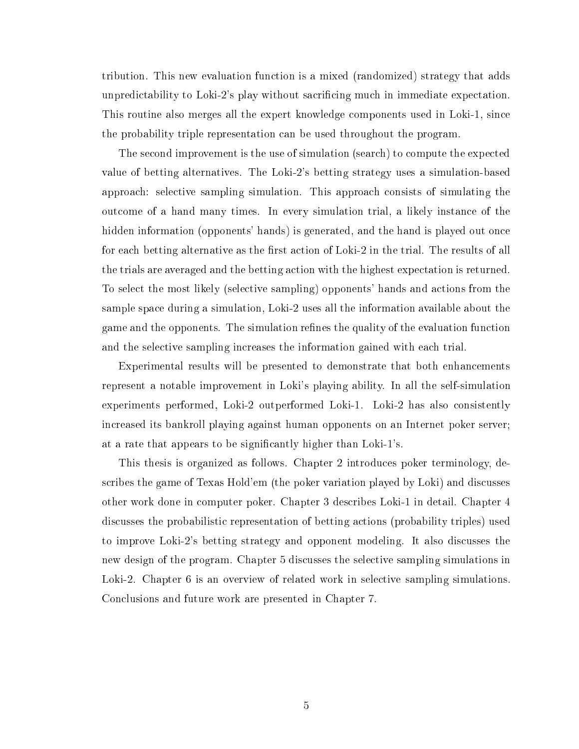tribution. This new evaluation fun
tion is a mixed (randomized) strategy that adds unpredictability to Loki-2's play without sacrificing much in immediate expectation. This routine also merges all the expert knowledge omponents used in Loki-1, sin
e the probability triple representation an be used throughout the program.

The second improvement is the use of simulation (search) to compute the expected value of betting alternatives. The Loki-2's betting strategy uses a simulation-based approach: selective sampling simulation. This approach consists of simulating the out
ome of a hand many times. In every simulation trial, a likely instan
e of the hidden information (opponents' hands) is generated, and the hand is played out once for each betting alternative as the first action of Loki-2 in the trial. The results of all the trials are averaged and the betting a
tion with the highest expe
tation is returned. To sele
t the most likely (sele
tive sampling) opponents' hands and a
tions from the sample spa
e during a simulation, Loki-2 uses all the information available about the game and the opponents. The simulation refines the quality of the evaluation function and the selective sampling increases the information gained with each trial.

Experimental results will be presented to demonstrate that both enhancements represent a notable improvement in Loki's playing ability. In all the self-simulation experiments performed, Loki-2 outperformed Loki-1. Loki-2 has also onsistently in
reased its bankroll playing against human opponents on an Internet poker server; at a rate that appears to be significantly higher than Loki-1's.

This thesis is organized as follows. Chapter 2 introdu
es poker terminology, describes the game of Texas Hold'em (the poker variation played by Loki) and discusses other work done in omputer poker. Chapter 3 des
ribes Loki-1 in detail. Chapter 4 discusses the probabilistic representation of betting actions (probability triples) used to improve Loki-2's betting strategy and opponent modeling. It also dis
usses the new design of the program. Chapter 5 discusses the selective sampling simulations in Loki-2. Chapter 6 is an overview of related work in selective sampling simulations. Con
lusions and future work are presented in Chapter 7.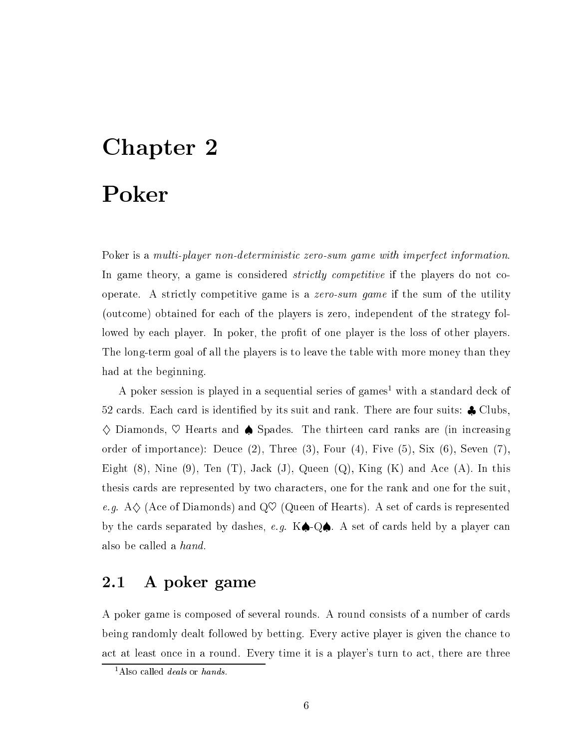# Chapter 2

# Poker

Poker is a *multi-player non-deterministic zero-sum game with imperfect information*. In game theory, a game is considered *strictly competitive* if the players do not cooperate. A strictly competitive game is a *zero-sum game* if the sum of the utility (out
ome) obtained for ea
h of the players is zero, independent of the strategy followed by each player. In poker, the profit of one player is the loss of other players. The long-term goal of all the players is to leave the table with more money than they had at the beginning.

A poker session is played in a sequential series of games With a standard deck of 52 cards. Each card is identified by its suit and rank. There are four suits:  $\clubsuit$  Clubs,  $\diamondsuit$  Diamonds,  $\heartsuit$  Hearts and  $\spadesuit$  Spades. The thirteen card ranks are (in increasing order of importance): Deuce  $(2)$ , Three  $(3)$ , Four  $(4)$ , Five  $(5)$ , Six  $(6)$ , Seven  $(7)$ , Eight  $(8)$ , Nine  $(9)$ , Ten  $(T)$ , Jack  $(J)$ , Queen  $(Q)$ , King  $(K)$  and Ace  $(A)$ . In this thesis ards are represented by two hara
ters, one for the rank and one for the suit, e.g.  $A \diamondsuit$  (Ace of Diamonds) and Q $\heartsuit$  (Queen of Hearts). A set of cards is represented by the cards separated by dashes, e.g.  $K\spadesuit$ -Q $\spadesuit$ . A set of cards held by a player can also be alled a hand.

# 2.1 A poker game

A poker game is composed of several rounds. A round consists of a number of cards being randomly dealt followed by betting. Every active player is given the chance to act at least once in a round. Every time it is a player's turn to act, there are three

<sup>&</sup>lt;sup>1</sup>Also called *deals* or *hands*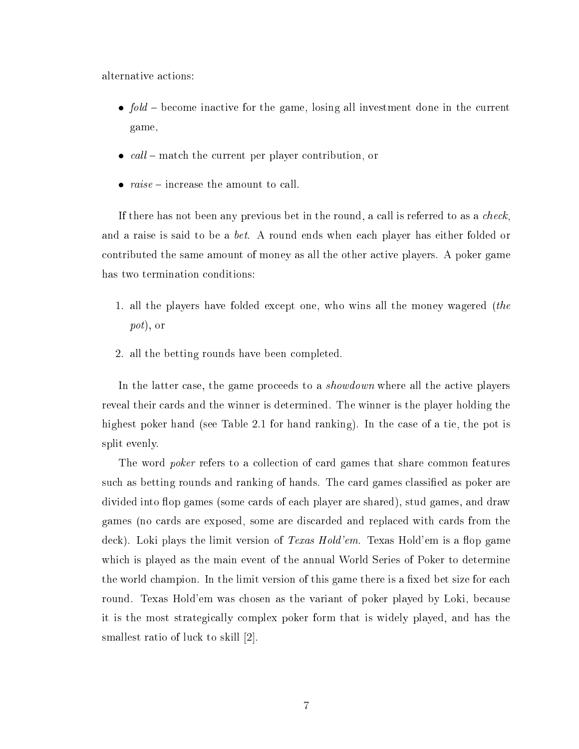alternative a
tions:

- $\bullet$  fold become inactive for the game, losing all investment done in the current game,
- $\bullet$  call match the current per player contribution, or
- $raise =$  increase the amount to call.

If there has not been any previous bet in the round, a call is referred to as a *check*. and a raise is said to be a *bet*. A round ends when each player has either folded or contributed the same amount of money as all the other active players. A poker game has two termination conditions:

- 1. all the players have folded ex
ept one, who wins all the money wagered (the pot), or
- 2. all the betting rounds have been ompleted.

In the latter case, the game proceeds to a *showdown* where all the active players reveal their ards and the winner is determined. The winner is the player holding the highest poker hand (see Table 2.1 for hand ranking). In the ase of a tie, the pot is split evenly.

The word *poker* refers to a collection of card games that share common features such as betting rounds and ranking of hands. The card games classified as poker are divided into flop games (some cards of each player are shared), stud games, and draw games (no ards are exposed, some are dis
arded and repla
ed with ards from the deck). Loki plays the limit version of *Texas Hold'em*. Texas Hold'em is a flop game whi
h is played as the main event of the annual World Series of Poker to determine the world champion. In the limit version of this game there is a fixed bet size for each round. Texas Hold'em was chosen as the variant of poker played by Loki, because it is the most strategi
ally omplex poker form that is widely played, and has the smallest ratio of luck to skill  $[2]$ .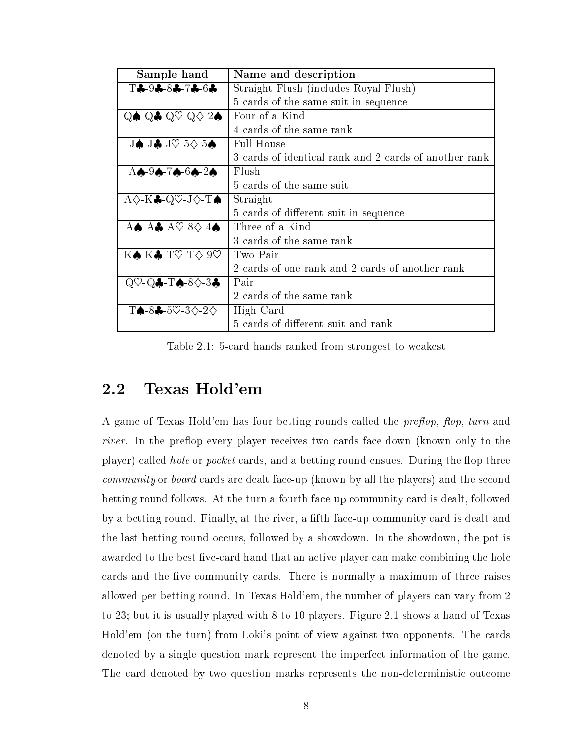| Sample hand                                                                       | Name and description                                  |  |  |
|-----------------------------------------------------------------------------------|-------------------------------------------------------|--|--|
| $T - 9 - 8 - 8 - 7 - 6$                                                           | Straight Flush (includes Royal Flush)                 |  |  |
|                                                                                   | 5 cards of the same suit in sequence                  |  |  |
| $Q \spadesuit$ Q $\clubsuit$ Q $Q \heartsuit$ Q $\diamondsuit$ 2 $\spadesuit$     | Four of a Kind                                        |  |  |
|                                                                                   | 4 cards of the same rank                              |  |  |
| $J$ $\spadesuit$ -J $\clubsuit$ -J $\heartsuit$ -5 $\diamondsuit$ -5 $\spadesuit$ | <b>Full House</b>                                     |  |  |
|                                                                                   | 3 cards of identical rank and 2 cards of another rank |  |  |
| $A \spadesuit - 9 \spadesuit - 7 \spadesuit - 6 \spadesuit - 2 \spadesuit$        | Flush                                                 |  |  |
|                                                                                   | 5 cards of the same suit                              |  |  |
| $A \diamondsuit K$ . Q $\heartsuit$ -J $\diamondsuit$ -T $\spadesuit$             | Straight                                              |  |  |
|                                                                                   | 5 cards of different suit in sequence                 |  |  |
| $A \spadesuit$ -A $\clubsuit$ -A $\heartsuit$ -8 $\diamondsuit$ -4 $\spadesuit$   | Three of a Kind                                       |  |  |
|                                                                                   | 3 cards of the same rank                              |  |  |
| $K \spadesuit$ -K $\clubsuit$ -T $\heartsuit$ -T $\diamondsuit$ -9 $\heartsuit$   | Two Pair                                              |  |  |
|                                                                                   | 2 cards of one rank and 2 cards of another rank       |  |  |
| $Q\heartsuit$ - $Q\clubsuit$ - $T\spadesuit$ -8 $\diamondsuit$ -3 $\clubsuit$     | Pair                                                  |  |  |
|                                                                                   | 2 cards of the same rank                              |  |  |
| $T\spadesuit$ -8 $\clubsuit$ -5 $\heartsuit$ -3 $\diamondsuit$ -2 $\diamondsuit$  | High Card                                             |  |  |
|                                                                                   | 5 cards of different suit and rank                    |  |  |

Table 2.1: 5-card hands ranked from strongest to weakest

## 2.2 Texas Hold'em

A game of Texas Hold'em has four betting rounds called the *preflop*, flop, turn and river. In the preflop every player receives two cards face-down (known only to the player) called *hole* or *pocket* cards, and a betting round ensues. During the flop three *community* or *board* cards are dealt face-up (known by all the players) and the second betting round follows. At the turn a fourth face-up community card is dealt, followed by a betting round. Finally, at the river, a fifth face-up community card is dealt and the last betting round occurs, followed by a showdown. In the showdown, the pot is awarded to the best five-card hand that an active player can make combining the hole cards and the five community cards. There is normally a maximum of three raises allowed per betting round. In Texas Hold'em, the number of players an vary from 2 to 23; but it is usually played with 8 to 10 players. Figure 2.1 shows a hand of Texas Hold'em (on the turn) from Loki's point of view against two opponents. The cards denoted by a single question mark represent the imperfe
t information of the game. The card denoted by two question marks represents the non-deterministic outcome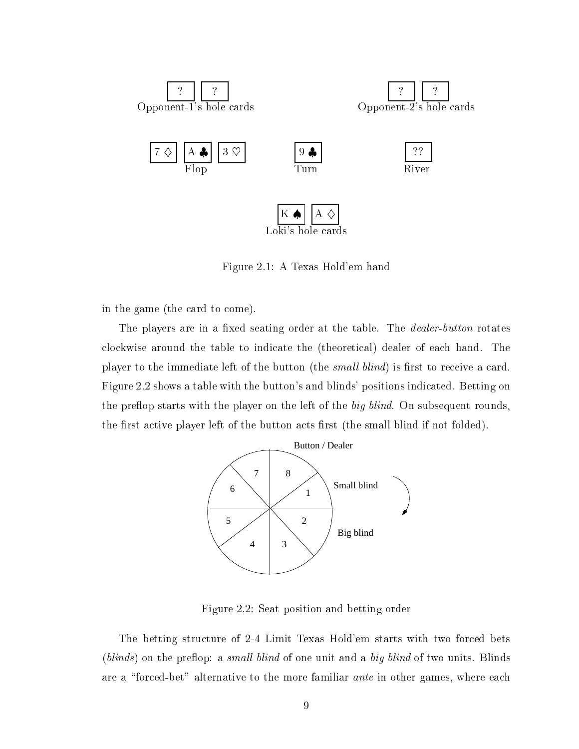

Figure 2.1: A Texas Hold'em hand

in the game (the ard to ome).

The players are in a fixed seating order at the table. The *dealer-button* rotates clockwise around the table to indicate the (theoretical) dealer of each hand. The player to the immediate left of the button (the *small blind*) is first to receive a card. Figure 2.2 shows a table with the button's and blinds' positions indicated. Betting on the preflop starts with the player on the left of the big blind. On subsequent rounds, the first active player left of the button acts first (the small blind if not folded).



Figure 2.2: Seat position and betting order

The betting structure of 2-4 Limit Texas Hold'em starts with two forced bets  $(blinds)$  on the preflop: a small blind of one unit and a big blind of two units. Blinds are a "forced-bet" alternative to the more familiar *ante* in other games, where each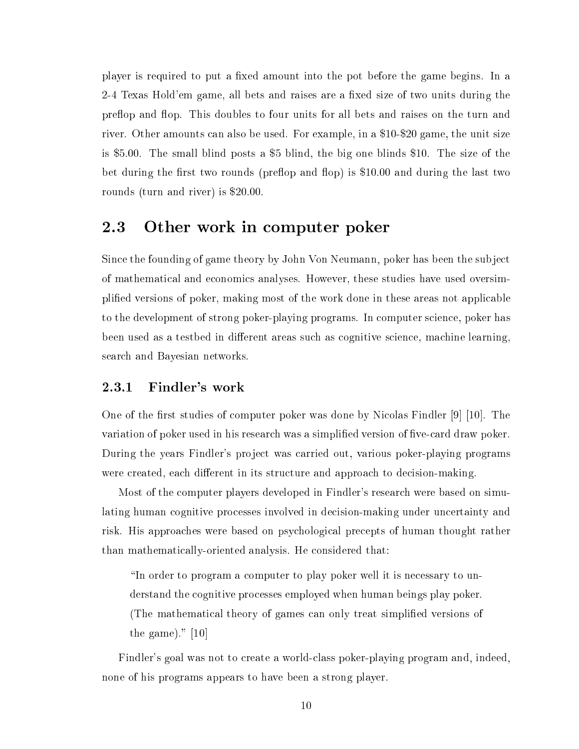player is required to put a fixed amount into the pot before the game begins. In a 2-4 Texas Hold'em game, all bets and raises are a fixed size of two units during the preflop and flop. This doubles to four units for all bets and raises on the turn and river. Other amounts an also be used. For example, in a \$10-\$20 game, the unit size is \$5.00. The small blind posts a \$5 blind, the big one blinds \$10. The size of the bet during the first two rounds (preflop and flop) is  $$10.00$  and during the last two rounds (turn and river) is \$20.00.

## 2.3 Other work in omputer poker

Sin
e the founding of game theory by John Von Neumann, poker has been the subje
t of mathemati
al and e
onomi
s analyses. However, these studies have used oversimplied versions of poker, making most of the work done in these areas not appli
able to the development of strong poker-playing programs. In computer science, poker has been used as a testbed in different areas such as cognitive science, machine learning, sear
h and Bayesian networks.

#### 2.3.1 Findler's work

One of the first studies of computer poker was done by Nicolas Findler  $[9]$  [10]. The variation of poker used in his research was a simplified version of five-card draw poker. During the years Findler's proje
t was arried out, various poker-playing programs were created, each different in its structure and approach to decision-making.

Most of the omputer players developed in Findler's resear
h were based on simulating human cognitive processes involved in decision-making under uncertainty and risk. His approa
hes were based on psy
hologi
al pre
epts of human thought rather than mathemati
ally-oriented analysis. He onsidered that:

"In order to program a computer to play poker well it is necessary to understand the ognitive pro
esses employed when human beings play poker. (The mathemati
al theory of games an only treat simplied versions of the game)."  $[10]$ 

Findler's goal was not to create a world-class poker-playing program and, indeed, none of his programs appears to have been a strong player.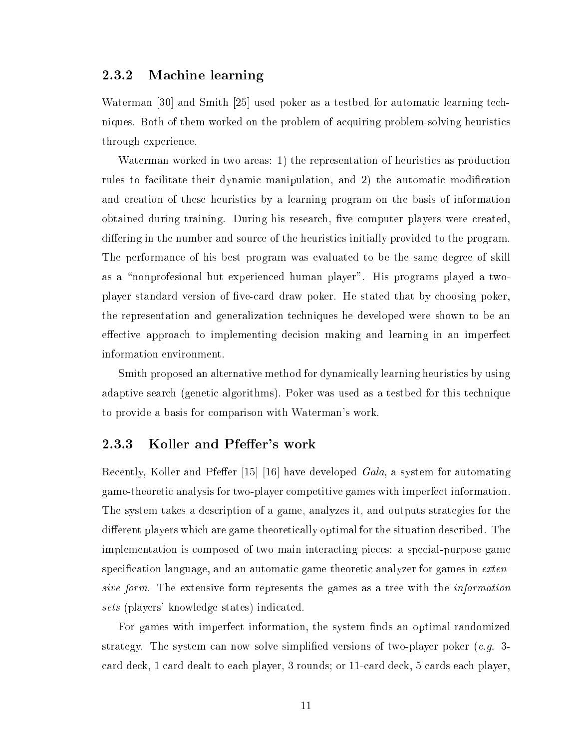#### 2.3.2 Ma
hine learning

Waterman [30] and Smith  $[25]$  used poker as a testbed for automatic learning techniques. Both of them worked on the problem of acquiring problem-solving heuristics through experien
e.

Waterman worked in two areas: 1) the representation of heuristics as production rules to facilitate their dynamic manipulation, and 2) the automatic modification and creation of these heuristics by a learning program on the basis of information obtained during training. During his research, five computer players were created, differing in the number and source of the heuristics initially provided to the program. The performan
e of his best program was evaluated to be the same degree of skill as a \nonprofesional but experien
ed human player". His programs played a twoplayer standard version of five-card draw poker. He stated that by choosing poker, the representation and generalization te
hniques he developed were shown to be an effective approach to implementing decision making and learning in an imperfect information environment.

Smith proposed an alternative method for dynami
ally learning heuristi
s by using adaptive search (genetic algorithms). Poker was used as a testbed for this technique to provide a basis for omparison with Waterman's work.

#### 2.3.3 Koller and Pfeffer's work

Recently, Koller and Pfeffer [15] [16] have developed *Gala*, a system for automating game-theoreti analysis for two-player ompetitive games with imperfe
t information. The system takes a des
ription of a game, analyzes it, and outputs strategies for the different players which are game-theoretically optimal for the situation described. The implementation is composed of two main interacting pieces: a special-purpose game specification language, and an automatic game-theoretic analyzer for games in extensive form. The extensive form represents the games as a tree with the *information* sets (players' knowledge states) indicated.

For games with imperfect information, the system finds an optimal randomized strategy. The system can now solve simplified versions of two-player poker (*e.g.* 3ard de
k, 1 ard dealt to ea
h player, 3 rounds; or 11ard de
k, 5 ards ea
h player,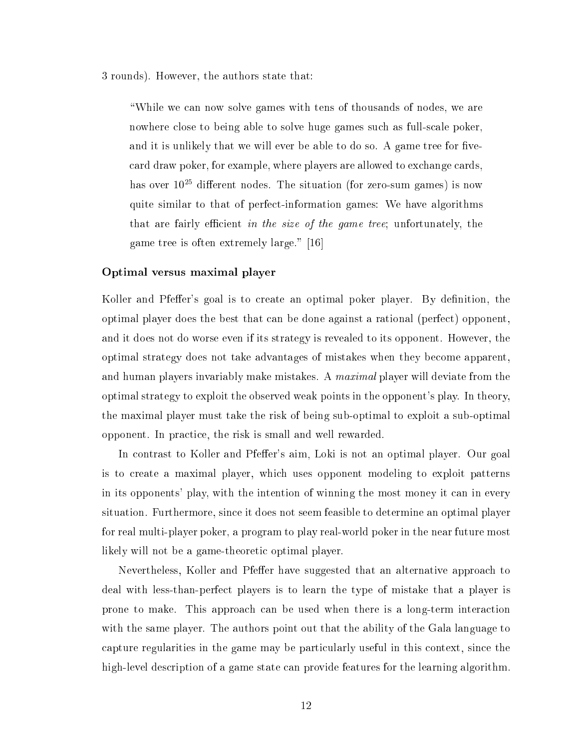3 rounds). However, the authors state that:

"While we can now solve games with tens of thousands of nodes, we are nowhere lose to being able to solve huge games su
h as full-s
ale poker, and it is unlikely that we will ever be able to do so. A game tree for fivecard draw poker, for example, where players are allowed to exchange cards, has over  $10^{25}$  different nodes. The situation (for zero-sum games) is now quite similar to that of perfe
t-information games: We have algorithms that are fairly efficient in the size of the game tree; unfortunately, the game tree is often extremely large."  $[16]$ 

#### Optimal versus maximal player

Koller and Pfeffer's goal is to create an optimal poker player. By definition, the optimal player does the best that an be done against a rational (perfe
t) opponent, and it does not do worse even if its strategy is revealed to its opponent. However, the optimal strategy does not take advantages of mistakes when they be
ome apparent, and human players invariably make mistakes. A *maximal* player will deviate from the optimal strategy to exploit the observed weak points in the opponent's play. In theory, the maximal player must take the risk of being sub-optimal to exploit a sub-optimal opponent. In pra
ti
e, the risk is small and well rewarded.

In contrast to Koller and Pfeffer's aim, Loki is not an optimal player. Our goal is to reate a maximal player, whi
h uses opponent modeling to exploit patterns in its opponents' play, with the intention of winning the most money it an in every situation. Furthermore, sin
e it does not seem feasible to determine an optimal player for real multi-player poker, a program to play real-world poker in the near future most likely will not be a game-theoretic optimal player.

Nevertheless, Koller and Pfeffer have suggested that an alternative approach to deal with less-than-perfect players is to learn the type of mistake that a player is prone to make. This approach can be used when there is a long-term interaction with the same player. The authors point out that the ability of the Gala language to capture regularities in the game may be particularly useful in this context, since the high-level description of a game state can provide features for the learning algorithm.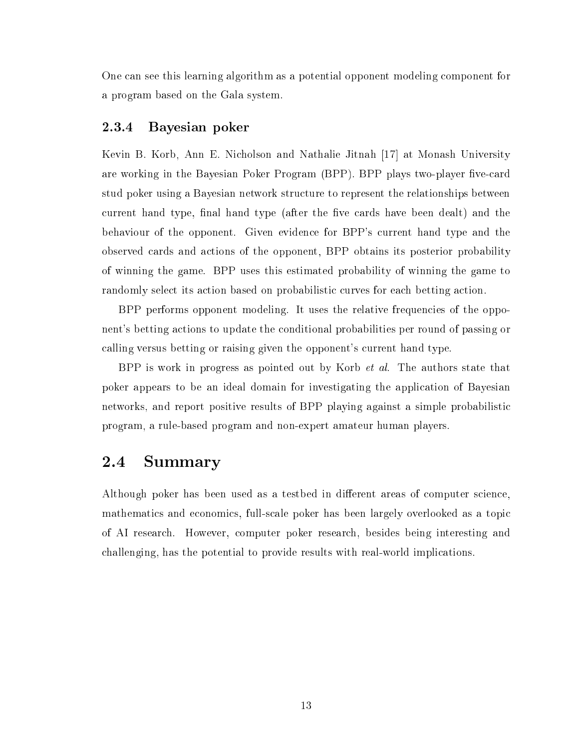One an see this learning algorithm as a potential opponent modeling omponent for a program based on the Gala system.

#### 2.3.4 2.3.4 Bayesian poker

Kevin B. Korb, Ann E. Nicholson and Nathalie Jitnah [17] at Monash University are working in the Bayesian Poker Program (BPP). BPP plays two-player five-card stud poker using a Bayesian network stru
ture to represent the relationships between current hand type, final hand type (after the five cards have been dealt) and the behaviour of the opponent. Given eviden
e for BPP's urrent hand type and the observed ards and a
tions of the opponent, BPP obtains its posterior probability of winning the game. BPP uses this estimated probability of winning the game to randomly select its action based on probabilistic curves for each betting action.

BPP performs opponent modeling. It uses the relative frequencies of the opponent's betting a
tions to update the onditional probabilities per round of passing or alling versus betting or raising given the opponent's urrent hand type.

BPP is work in progress as pointed out by Korb et al. The authors state that poker appears to be an ideal domain for investigating the appli
ation of Bayesian networks, and report positive results of BPP playing against a simple probabilisti program, a rule-based program and non-expert amateur human players.

### 2.4 Summary

Although poker has been used as a testbed in different areas of computer science, mathematics and economics, full-scale poker has been largely overlooked as a topic of AI resear
h. However, omputer poker resear
h, besides being interesting and hallenging, has the potential to provide results with real-world impli
ations.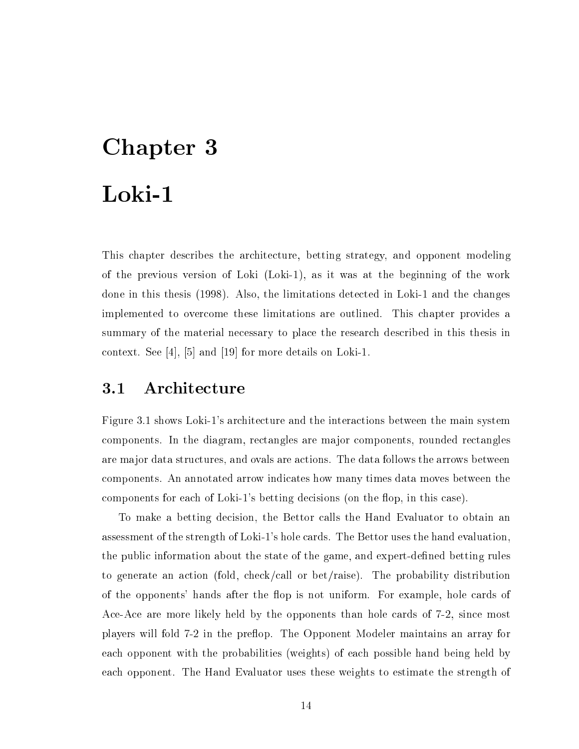# Chapter 3 Loki-1

This hapter des
ribes the ar
hite
ture, betting strategy, and opponent modeling of the previous version of Loki (Loki-1), as it was at the beginning of the work done in this thesis (1998). Also, the limitations detected in Loki-1 and the changes implemented to over
ome these limitations are outlined. This hapter provides a summary of the material necessary to place the research described in this thesis in context. See  $[4]$ ,  $[5]$  and  $[19]$  for more details on Loki-1.

# 3.1 Architecture

Figure 3.1 shows Loki-1's architecture and the interactions between the main system omponents. In the diagram, re
tangles are major omponents, rounded re
tangles are major data stru
tures, and ovals are a
tions. The data follows the arrows between omponents. An annotated arrow indi
ates how many times data moves between the components for each of Loki-1's betting decisions (on the flop, in this case).

To make a betting decision, the Bettor calls the Hand Evaluator to obtain an assessment of the strength of Loki-1's hole ards. The Bettor uses the hand evaluation, the public information about the state of the game, and expert-defined betting rules to generate an a
tion (fold, he
k/
all or bet/raise). The probability distribution of the opponents' hands after the flop is not uniform. For example, hole cards of Ace-Ace are more likely held by the opponents than hole cards of 7-2, since most players will fold 7-2 in the preflop. The Opponent Modeler maintains an array for ea
h opponent with the probabilities (weights) of ea
h possible hand being held by ea
h opponent. The Hand Evaluator uses these weights to estimate the strength of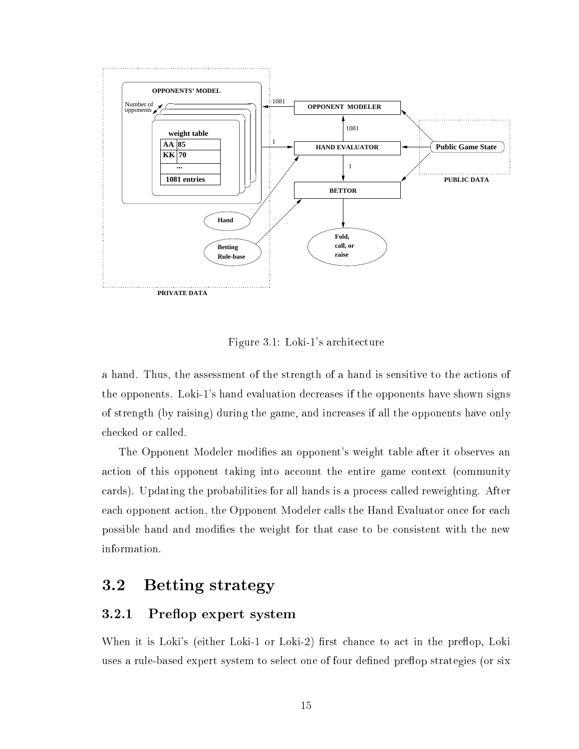

Figure 3.1: Loki-1's ar
hite
ture

a hand. Thus, the assessment of the strength of a hand is sensitive to the actions of the opponents. Loki-1's hand evaluation de
reases if the opponents have shown signs of strength (by raising) during the game, and in
reases if all the opponents have only he
ked or alled.

The Opponent Modeler modifies an opponent's weight table after it observes an action of this opponent taking into account the entire game context (community ards). Updating the probabilities for all hands is a pro
ess alled reweighting. After each opponent action, the Opponent Modeler calls the Hand Evaluator once for each possible hand and modies the weight for that ase to be onsistent with the new information.

#### $3.2$ Betting strategy

#### 3.2.1 Preflop expert system

When it is Loki's (either Loki-1 or Loki-2) first chance to act in the preflop, Loki uses a rule-based expert system to select one of four defined preflop strategies (or six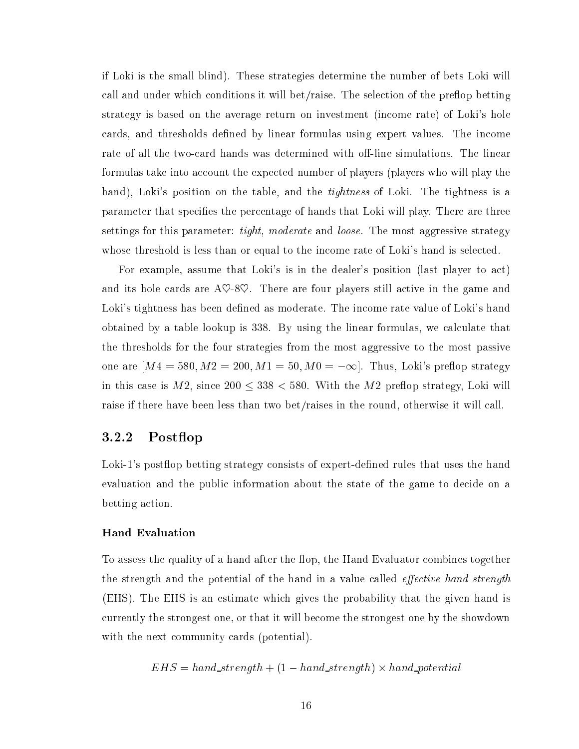if Loki is the small blind). These strategies determine the number of bets Loki will call and under which conditions it will bet/raise. The selection of the preflop betting strategy is based on the average return on investment (in
ome rate) of Loki's hole cards, and thresholds defined by linear formulas using expert values. The income rate of all the two-card hands was determined with off-line simulations. The linear formulas take into account the expected number of players (players who will play the hand), Loki's position on the table, and the *tightness* of Loki. The tightness is a parameter that spe
ies the per
entage of hands that Loki will play. There are three settings for this parameter: *tight, moderate* and *loose*. The most aggressive strategy whose threshold is less than or equal to the income rate of Loki's hand is selected.

For example, assume that Loki's is in the dealer's position (last player to act) and its hole cards are  $A\heartsuit - 8\heartsuit$ . There are four players still active in the game and Loki's tightness has been defined as moderate. The income rate value of Loki's hand obtained by a table lookup is 338. By using the linear formulas, we calculate that the thresholds for the four strategies from the most aggressive to the most passive one are  $[M4 = 580, M2 = 200, M1 = 50, M0 = -\infty]$ . Thus, Loki's preflop strategy in this case is  $M2$ , since  $200 \leq 338 < 580$ . With the  $M2$  preflop strategy, Loki will raise if there have been less than two bet/raises in the round, otherwise it will call.

#### 3.2.2 Postflop

Loki-1's postflop betting strategy consists of expert-defined rules that uses the hand evaluation and the public information about the state of the game to decide on a betting action.

#### Hand Evaluation

To assess the quality of a hand after the flop, the Hand Evaluator combines together the strength and the potential of the hand in a value called *effective hand strength* (EHS). The EHS is an estimate whi
h gives the probability that the given hand is urrently the strongest one, or that it will be
ome the strongest one by the showdown with the next community cards (potential).

$$
EHS = hand\_strength + (1 - hand\_strength) \times hand\_potential
$$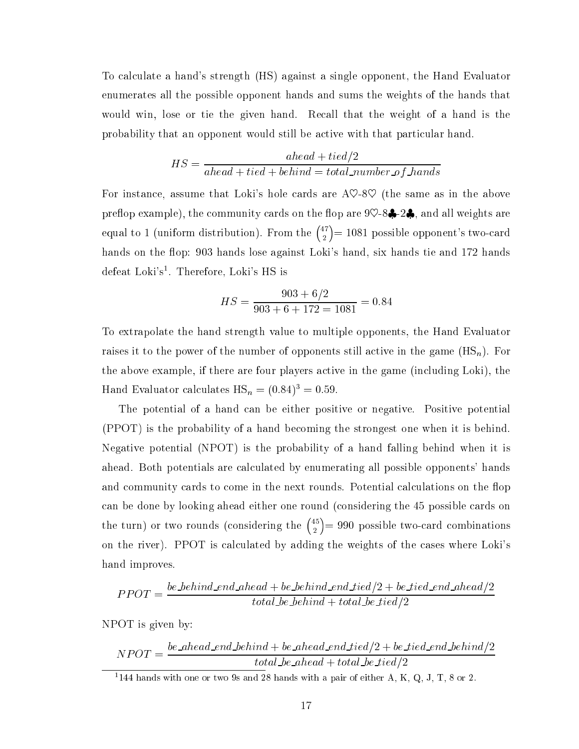To al
ulate a hand's strength (HS) against a single opponent, the Hand Evaluator enumerates all the possible opponent hands and sums the weights of the hands that would win, lose or tie the given hand. Recall that the weight of a hand is the probability that an opponent would still be active with that particular hand.

$$
HS = \frac{ ahead + tied/2}{ ahead + tied + behind = total\_number\_of\_bands}
$$

For instance, assume that Loki's hole cards are  $A\heartsuit$ -8 $\heartsuit$  (the same as in the above preflop example), the community cards on the flop are  $9\heartsuit$ -8 $\clubsuit$ -2 $\clubsuit$ , and all weights are equal to 1 (uniform distribution). From the  $\binom{47}{3}$  $= 1081$  possible opponent's two-card hands on the flop: 903 hands lose against Loki's hand, six hands tie and 172 hands defeat Loki's<sup>1</sup>. Therefore, Loki's HS is

$$
HS = \frac{903 + 6/2}{903 + 6 + 172 = 1081} = 0.84
$$

To extrapolate the hand strength value to multiple opponents, the Hand Evaluator raises it to the power of the number of opponents still active in the game  $(HS_n)$ . For the above example, if there are four players active in the game (including Loki), the Hand Evaluator calculates  $\text{HS}_n = (0.84)^3 = 0.59$ .

The potential of a hand can be either positive or negative. Positive potential (PPOT) is the probability of a hand be
oming the strongest one when it is behind. Negative potential (NPOT) is the probability of a hand falling behind when it is ahead. Both potentials are calculated by enumerating all possible opponents' hands and community cards to come in the next rounds. Potential calculations on the flop an be done by looking ahead either one round (
onsidering the 45 possible ards on the turn) or two rounds (considering the  $\binom{45}{3}$  $\sim$ = 990 possible twoard ombinations on the river). PPOT is calculated by adding the weights of the cases where Loki's hand improves.

$$
PPOT = \frac{be\_behind\_end\_ ahead + be\_behind\_end\_tied/2 + be\_tied\_end\_ahead/2}{total\_be\_behind + total\_be\_tied/2}
$$

NPOT is given by:

$$
NPOT = \frac{be\_ahead\_end\_behind + be\_ahead\_end\_tied/2 + be\_tied\_end\_behind/2}{total\_be\_ ahead + total\_be\_tied/2}
$$

 $1144$  hands with one or two 9s and 28 hands with a pair of either A, K, Q, J, T, 8 or 2.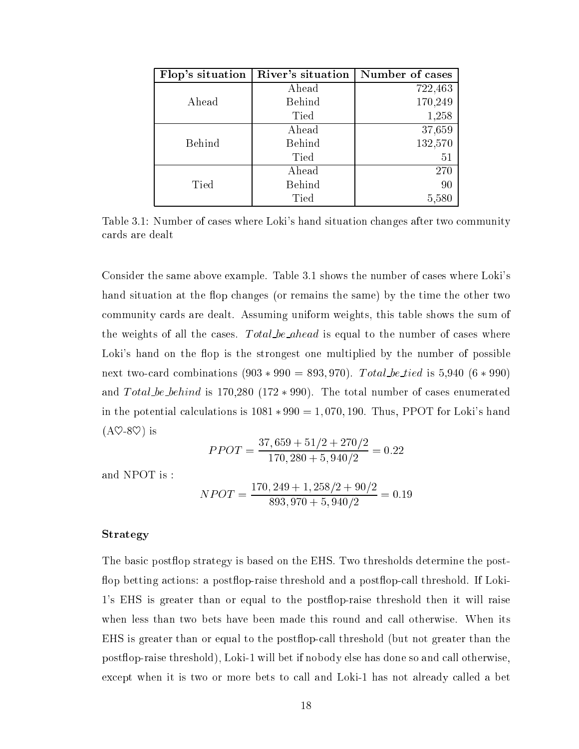| Flop's situation | River's situation | Number of cases |
|------------------|-------------------|-----------------|
|                  | Ahead             | 722,463         |
| Ahead            | Behind            | 170,249         |
|                  | Tied              | 1,258           |
|                  | Ahead             | 37,659          |
| Behind           | Behind            | 132,570         |
|                  | Tied              | 51              |
|                  | Ahead             | 270             |
| Tied             | Behind            | 90              |
|                  | Tied              | 5,580           |

Table 3.1: Number of cases where Loki's hand situation changes after two community ards are dealt

Consider the same above example. Table 3.1 shows the number of cases where Loki's hand situation at the flop changes (or remains the same) by the time the other two ommunity ards are dealt. Assuming uniform weights, this table shows the sum of the weights of all the cases.  $Total\_be\_ ahead$  is equal to the number of cases where Loki's hand on the flop is the strongest one multiplied by the number of possible next two-card combinations  $(903 * 990 = 893, 970)$ . Total be tied is 5,940  $(6 * 990)$ and Total be behind is  $170,280$  ( $172 * 990$ ). The total number of cases enumerated in the potential calculations is  $1081 * 990 = 1,070,190$ . Thus, PPOT for Loki's hand  $(A \heartsuit - 8 \heartsuit)$  is

$$
PPOT = \frac{37,659 + 51/2 + 270/2}{170,280 + 5,940/2} = 0.22
$$

and NPOT is :

$$
NPOT = \frac{170,249 + 1,258/2 + 90/2}{893,970 + 5,940/2} = 0.19
$$

#### Strategy

The basic postflop strategy is based on the EHS. Two thresholds determine the postflop betting actions: a postflop-raise threshold and a postflop-call threshold. If Loki-1's EHS is greater than or equal to the post
op-raise threshold then it will raise when less than two bets have been made this round and call otherwise. When its EHS is greater than or equal to the postflop-call threshold (but not greater than the postflop-raise threshold), Loki-1 will bet if nobody else has done so and call otherwise, except when it is two or more bets to call and Loki-1 has not already called a bet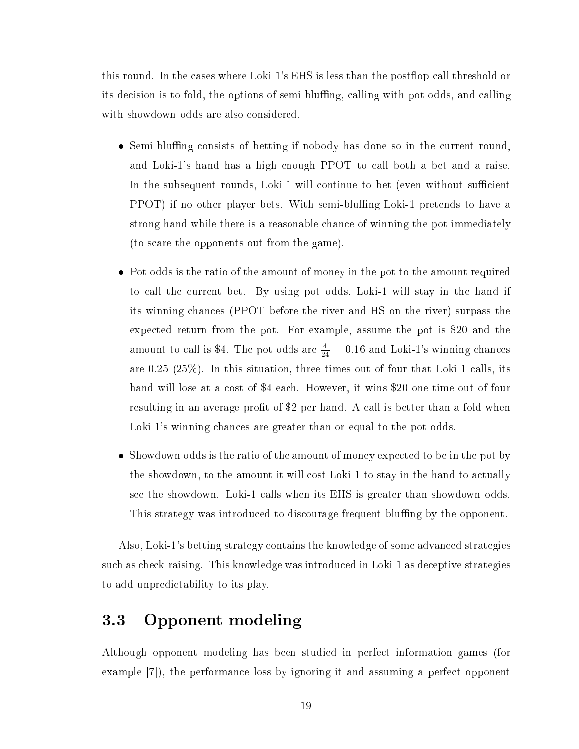this round. In the cases where Loki-1's EHS is less than the postflop-call threshold or its decision is to fold, the options of semi-bluffing, calling with pot odds, and calling with showdown odds are also considered.

- Semi-bluffing consists of betting if nobody has done so in the current round. and Loki-1's hand has a high enough PPOT to call both a bet and a raise. In the subsequent rounds, Loki-1 will continue to bet (even without sufficient PPOT) if no other player bets. With semi-bluffing Loki-1 pretends to have a strong hand while there is a reasonable han
e of winning the pot immediately (to s
are the opponents out from the game).
- Pot odds is the ratio of the amount of money in the pot to the amount required to all the urrent bet. By using pot odds, Loki-1 will stay in the hand if its winning han
es (PPOT before the river and HS on the river) surpass the expe
ted return from the pot. For example, assume the pot is \$20 and the amount to call is \$4. The pot odds are  $\frac{4}{24} = 0.16$  and Loki-1's winning chances are  $0.25$   $(25\%)$ . In this situation, three times out of four that Loki-1 calls, its hand will lose at a cost of \$4 each. However, it wins \$20 one time out of four resulting in an average profit of \$2 per hand. A call is better than a fold when Loki-1's winning chances are greater than or equal to the pot odds.
- Showdown odds is the ratio of the amount of money expected to be in the pot by the showdown, to the amount it will cost Loki-1 to stay in the hand to actually see the showdown. Loki-1 alls when its EHS is greater than showdown odds. This strategy was introduced to discourage frequent bluffing by the opponent.

Also, Loki-1's betting strategy ontains the knowledge of some advan
ed strategies su
h as he
k-raising. This knowledge was introdu
ed in Loki-1 as de
eptive strategies to add unpredi
tability to its play.

# 3.3 Opponent modeling

Although opponent modeling has been studied in perfe
t information games (for example  $[7]$ , the performance loss by ignoring it and assuming a perfect opponent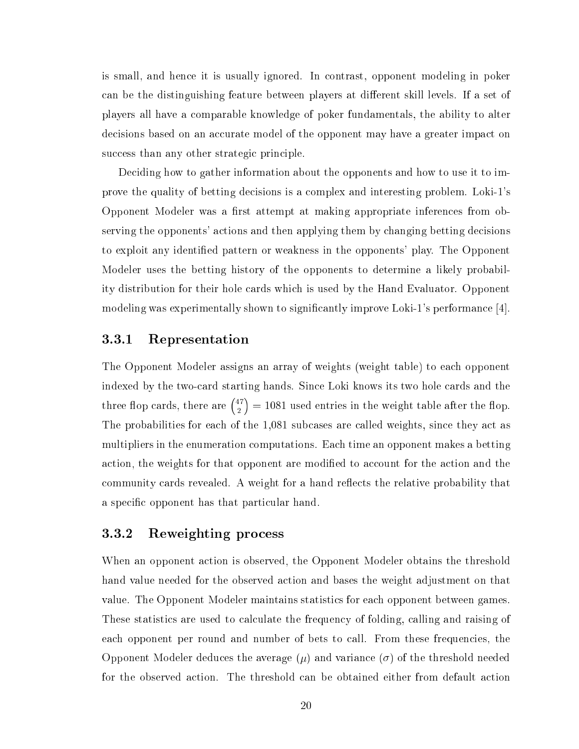is small, and hen
e it is usually ignored. In ontrast, opponent modeling in poker can be the distinguishing feature between players at different skill levels. If a set of players all have a omparable knowledge of poker fundamentals, the ability to alter decisions based on an accurate model of the opponent may have a greater impact on success than any other strategic principle.

De
iding how to gather information about the opponents and how to use it to improve the quality of betting de
isions is a omplex and interesting problem. Loki-1's Opponent Modeler was a first attempt at making appropriate inferences from observing the opponents' actions and then applying them by changing betting decisions to exploit any identied pattern or weakness in the opponents' play. The Opponent Modeler uses the betting history of the opponents to determine a likely probability distribution for their hole ards whi
h is used by the Hand Evaluator. Opponent modeling was experimentally shown to significantly improve Loki-1's performance  $[4]$ .

#### 3.3.1 Representation

The Opponent Modeler assigns an array of weights (weight table) to ea
h opponent indexed by the twoard starting hands. Sin
e Loki knows its two hole ards and the three flop cards, there are  $\binom{47}{3}$  $\sim$ = 1081 used entries in the weight table after the op. The probabilities for each of the 1,081 subcases are called weights, since they act as multipliers in the enumeration omputations. Ea
h time an opponent makes a betting action, the weights for that opponent are modified to account for the action and the community cards revealed. A weight for a hand reflects the relative probability that a specific opponent has that particular hand.

#### 3.3.2 Reweighting pro
ess

When an opponent action is observed, the Opponent Modeler obtains the threshold hand value needed for the observed action and bases the weight adjustment on that value. The Opponent Modeler maintains statisti
s for ea
h opponent between games. These statistics are used to calculate the frequency of folding, calling and raising of each opponent per round and number of bets to call. From these frequencies, the Opponent Modeler deduces the average  $(\mu)$  and variance  $(\sigma)$  of the threshold needed for the observed action. The threshold can be obtained either from default action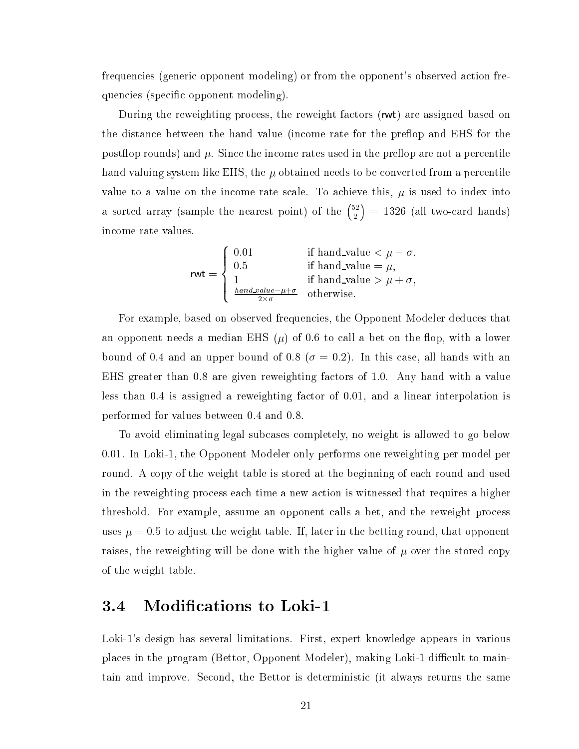frequencies (generic opponent modeling) or from the opponent's observed action frequencies (specific opponent modeling).

During the reweighting process, the reweight factors (rwt) are assigned based on the distance between the hand value (income rate for the preflop and EHS for the postflop rounds) and  $\mu$ . Since the income rates used in the preflop are not a percentile hand valuing system like EHS, the  $\mu$  obtained needs to be converted from a percentile value to a value on the income rate scale. To achieve this,  $\mu$  is used to index into a sorted array (sample the nearest point) of the  $\binom{52}{3}$  $\sim$  $\mathbf{1}$ in
ome rate values.

$$
\mathsf{rwt} = \left\{ \begin{array}{ll} 0.01 & \text{if hand_value} < \mu - \sigma, \\ 0.5 & \text{if hand_value} = \mu, \\ 1 & \text{if hand_value} > \mu + \sigma, \\ \frac{hand\_value - \mu + \sigma}{2 \times \sigma} & \text{otherwise.} \end{array} \right.
$$

For example, based on observed frequencies, the Opponent Modeler deduces that an opponent needs a median EHS  $(\mu)$  of 0.6 to call a bet on the flop, with a lower bound of 0.4 and an upper bound of 0.8 ( $\sigma = 0.2$ ). In this case, all hands with an EHS greater than 0.8 are given reweighting factors of 1.0. Any hand with a value less than  $0.4$  is assigned a reweighting factor of  $0.01$ , and a linear interpolation is performed for values between 0.4 and 0.8.

To avoid eliminating legal sub
ases ompletely, no weight is allowed to go below 0.01. In Loki-1, the Opponent Modeler only performs one reweighting per model per round. A copy of the weight table is stored at the beginning of each round and used in the reweighting pro
ess ea
h time a new a
tion is witnessed that requires a higher threshold. For example, assume an opponent alls a bet, and the reweight pro
ess uses  $\mu = 0.5$  to adjust the weight table. If, later in the betting round, that opponent raises, the reweighting will be done with the higher value of  $\mu$  over the stored copy of the weight table.

## 3.4 Modifications to Loki-1

Loki-1's design has several limitations. First, expert knowledge appears in various places in the program (Bettor, Opponent Modeler), making Loki-1 difficult to maintain and improve. Se
ond, the Bettor is deterministi (it always returns the same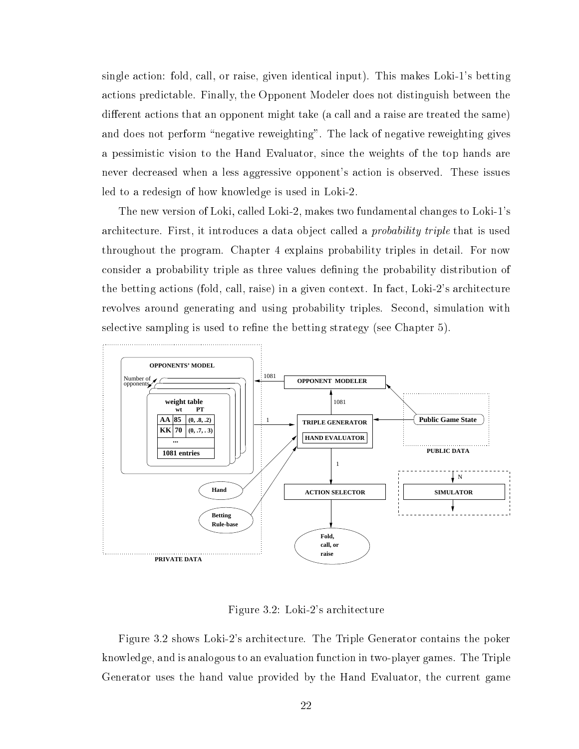single action: fold, call, or raise, given identical input). This makes Loki-1's betting a
tions predi
table. Finally, the Opponent Modeler does not distinguish between the different actions that an opponent might take (a call and a raise are treated the same) and does not perform "negative reweighting". The lack of negative reweighting gives a pessimistic vision to the Hand Evaluator, since the weights of the top hands are never de
reased when a less aggressive opponent's a
tion is observed. These issues led to a redesign of how knowledge is used in Loki-2.

The new version of Loki, alled Loki-2, makes two fundamental hanges to Loki-1's architecture. First, it introduces a data object called a *probability triple* that is used throughout the program. Chapter 4 explains probability triples in detail. For now onsider a probability triple as three values dening the probability distribution of the betting actions (fold, call, raise) in a given context. In fact, Loki-2's architecture revolves around generating and using probability triples. Second, simulation with selective sampling is used to refine the betting strategy (see Chapter 5).



Figure 3.2: Loki-2's ar
hite
ture

Figure 3.2 shows Loki-2's ar
hite
ture. The Triple Generator ontains the poker knowledge, and is analogous to an evaluation fun
tion in two-player games. The Triple Generator uses the hand value provided by the Hand Evaluator, the urrent game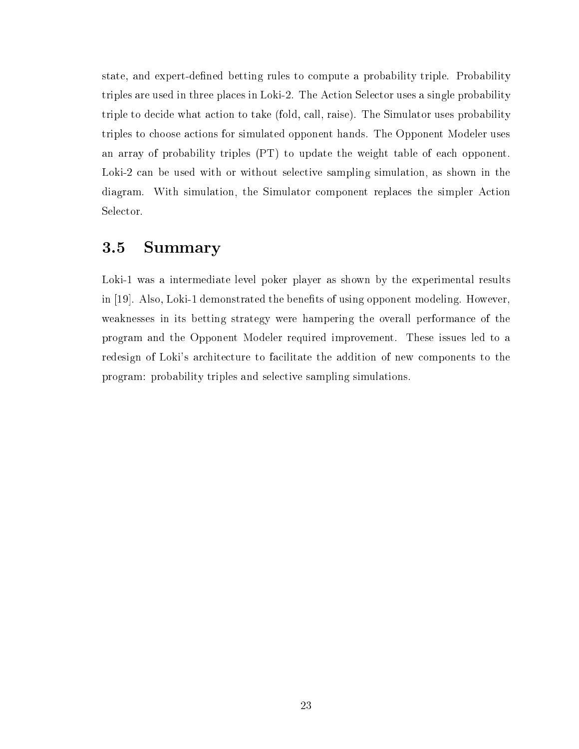state, and expert-defined betting rules to compute a probability triple. Probability triples are used in three pla
es in Loki-2. The A
tion Sele
tor uses a single probability triple to decide what action to take (fold, call, raise). The Simulator uses probability triples to hoose a
tions for simulated opponent hands. The Opponent Modeler uses an array of probability triples (PT) to update the weight table of ea
h opponent. Loki-2 can be used with or without selective sampling simulation, as shown in the diagram. With simulation, the Simulator component replaces the simpler Action Selector.

## 3.5 Summary

Loki-1 was a intermediate level poker player as shown by the experimental results in  $[19]$ . Also, Loki-1 demonstrated the benefits of using opponent modeling. However, weaknesses in its betting strategy were hampering the overall performan
e of the program and the Opponent Modeler required improvement. These issues led to a redesign of Loki's architecture to facilitate the addition of new components to the program: probability triples and sele
tive sampling simulations.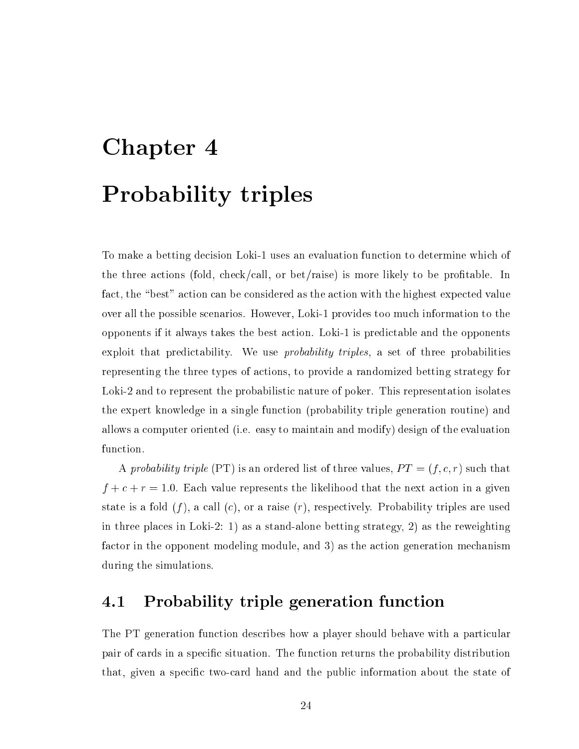# Chapter 4 Probability triples

To make a betting decision Loki-1 uses an evaluation function to determine which of the three actions (fold, check/call, or bet/raise) is more likely to be profitable. In fact, the "best" action can be considered as the action with the highest expected value over all the possible s
enarios. However, Loki-1 provides too mu
h information to the opponents if it always takes the best a
tion. Loki-1 is predi
table and the opponents exploit that predictability. We use *probability triples*, a set of three probabilities representing the three types of a
tions, to provide a randomized betting strategy for Loki-2 and to represent the probabilistic nature of poker. This representation isolates the expert knowledge in a single fun
tion (probability triple generation routine) and allows a omputer oriented (i.e. easy to maintain and modify) design of the evaluation function.

A probability triple (PT) is an ordered list of three values,  $PT = (f, c, r)$  such that f + + <sup>r</sup> = 1:0. Ea
h value represents the likelihood that the next a
tion in a given state is a fold  $(f)$ , a call  $(c)$ , or a raise  $(r)$ , respectively. Probability triples are used in three pla
es in Loki-2: 1) as a stand-alone betting strategy, 2) as the reweighting factor in the opponent modeling module, and 3) as the action generation mechanism during the simulations.

## 4.1 Probability triple generation function

The PT generation function describes how a player should behave with a particular pair of cards in a specific situation. The function returns the probability distribution that, given a specific two-card hand and the public information about the state of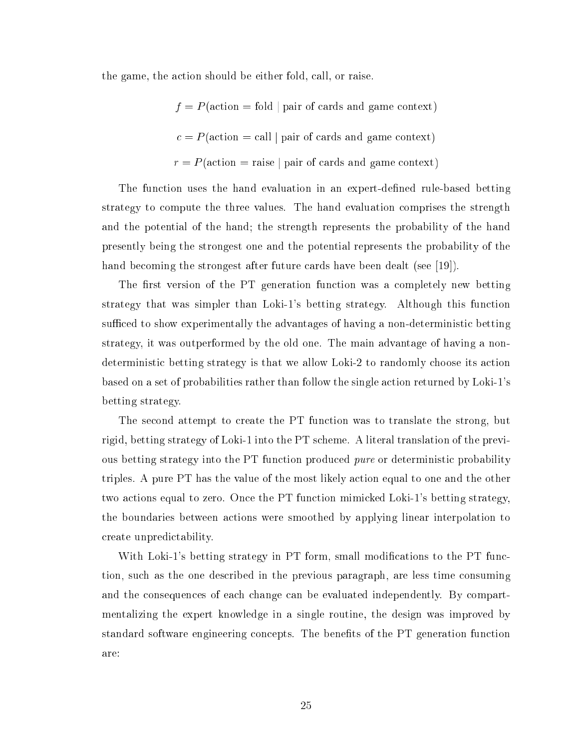the game, the a
tion should be either fold, all, or raise.

fold  $\mathcal{A}$  are fold in the fold  $\mathcal{A}$  and game  $\mathcal{A}$  and game  $\mathcal{A}$  = <sup>P</sup> (a
tion = all <sup>j</sup> pair of ards and game ontext) r = raise = raise pair of the mean  $\pi$ 

The function uses the hand evaluation in an expert-defined rule-based betting strategy to ompute the three values. The hand evaluation omprises the strength and the potential of the hand; the strength represents the probability of the hand presently being the strongest one and the potential represents the probability of the hand becoming the strongest after future cards have been dealt (see [19]).

The first version of the PT generation function was a completely new betting strategy that was simpler than Loki-1's betting strategy. Although this fun
tion sufficed to show experimentally the advantages of having a non-deterministic betting strategy, it was outperformed by the old one. The main advantage of having a nondeterministic betting strategy is that we allow Loki-2 to randomly choose its action based on a set of probabilities rather than follow the single action returned by Loki-1's betting strategy.

The second attempt to create the PT function was to translate the strong, but rigid, betting strategy of Loki-1 into the PT s
heme. A literal translation of the previous betting strategy into the PT function produced *pure* or deterministic probability triples. A pure PT has the value of the most likely a
tion equal to one and the other two a
tions equal to zero. On
e the PT fun
tion mimi
ked Loki-1's betting strategy, the boundaries between a
tions were smoothed by applying linear interpolation to reate unpredi
tability.

With Loki-1's betting strategy in PT form, small modifications to the PT function, su
h as the one des
ribed in the previous paragraph, are less time onsuming and the consequences of each change can be evaluated independently. By compartmentalizing the expert knowledge in a single routine, the design was improved by standard software engineering concepts. The benefits of the PT generation function are: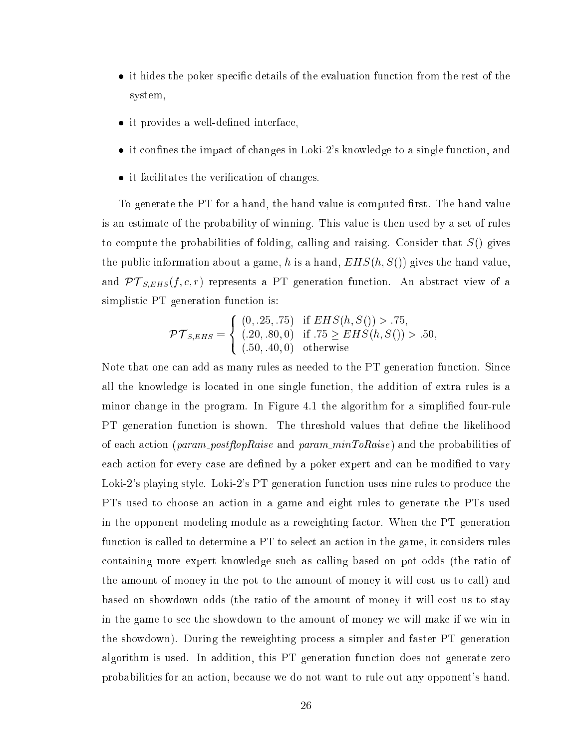- it hides the poker specific details of the evaluation function from the rest of the system,
- it provides a well-defined interface.
- it confines the impact of changes in Loki-2's knowledge to a single function, and
- it facilitates the verification of changes.

To generate the PT for a hand, the hand value is computed first. The hand value is an estimate of the probability of winning. This value is then used by a set of rules to compute the probabilities of folding, calling and raising. Consider that  $S()$  gives the public information about a game, h is a hand,  $EHS(h, S()$  gives the hand value, and PT S; r) represents a PT generation function function function function function function function functio simplistic PT generation function is:

$$
\mathcal{PT}_{S,EHS} = \left\{ \begin{array}{ll} (0, .25, .75) & \text{if } EHS(h, S()) > .75, \\ (.20, .80, 0) & \text{if } .75 \ge EHS(h, S()) > .50, \\ (.50, .40, 0) & \text{otherwise} \end{array} \right.
$$

Note that one can add as many rules as needed to the PT generation function. Since all the knowledge is lo
ated in one single fun
tion, the addition of extra rules is a minor change in the program. In Figure 4.1 the algorithm for a simplified four-rule PT generation function is shown. The threshold values that define the likelihood of each action (param\_postflopRaise and param\_minToRaise) and the probabilities of each action for every case are defined by a poker expert and can be modified to vary Loki-2's playing style. Loki-2's PT generation function uses nine rules to produce the PTs used to choose an action in a game and eight rules to generate the PTs used in the opponent modeling module as a reweighting factor. When the PT generation function is called to determine a PT to select an action in the game, it considers rules ontaining more expert knowledge su
h as alling based on pot odds (the ratio of the amount of money in the pot to the amount of money it will cost us to call) and based on showdown odds (the ratio of the amount of money it will cost us to stay in the game to see the showdown to the amount of money we will make if we win in the showdown). During the reweighting pro
ess a simpler and faster PT generation algorithm is used. In addition, this PT generation fun
tion does not generate zero probabilities for an a
tion, be
ause we do not want to rule out any opponent's hand.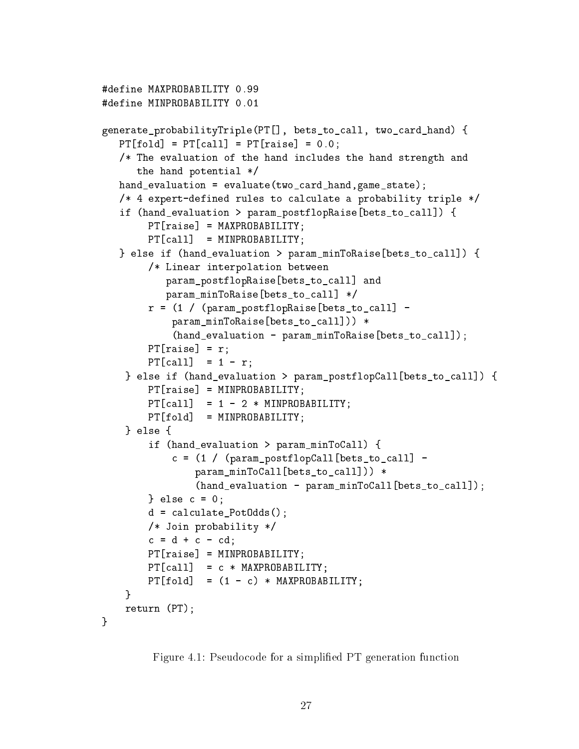```
#define MAXPROBABILITY 0.99
#define MINPROBABILITY 0.01
generate_probabilityTriple(PT[], bets_to_call, two_card_hand) {
   PT[fold] = PT[call] = PT[raise] = 0.0;/* The evaluation of the hand in
ludes the hand strength and
      the hand potential */
  hand_evaluation = evaluate(two_
ard_hand,game_state);
   /* 4 expert-defined rules to calculate a probability triple */
   if (hand_evaluation > param_postflopRaise[bets_to_call]) {
        PT[raise] = MAXPROBABILITY;PT[call] = MINPROBABILITY;} else if (hand_evaluation > param_minToRaise[bets_to_call]) {
        /* Linear interpolation between
           param_postflopRaise[bets_to_call] and
           param_minToRaise[bets_to_call] */
        r = (1 / (param\_postflopRatio [bets_to-call] -param_minToRaise[bets_to_call])) *
            (hand_evaluation - param_minnToRaise[bets_to_call]);PT[raise] = r;PT[call] = 1 - r;} else if (hand\_evaluation > param\_postflowCall[bets_to\_call]) {
        PT[raise] = MINPROBABILITY;PT[call] = 1 - 2 * MINPROBABILITY;PT[fold] = MINPROBABILITY;} else {
    } else {
        if (hand_evaluation > param_minToCall) {
            c = (1 / (param\_postflopCall[bets_to-call] -param_minToCall[bets_to_call])) *
                (hand_evaluation - param_minToCall[bets_to_call]);
        } else c = 0;d = 
al
ulate_PotOdds();
        /* Join probability */
        c = d + c - cd;PT[raise] = MINPROBABILITY;PT[call] = c * MAXPROBABILITY;PT[fold] = (1 - c) * MAXPROBABILITY;ł.
    }
   return (PT);
Y
}
```
Figure 4.1: Pseudocode for a simplified PT generation function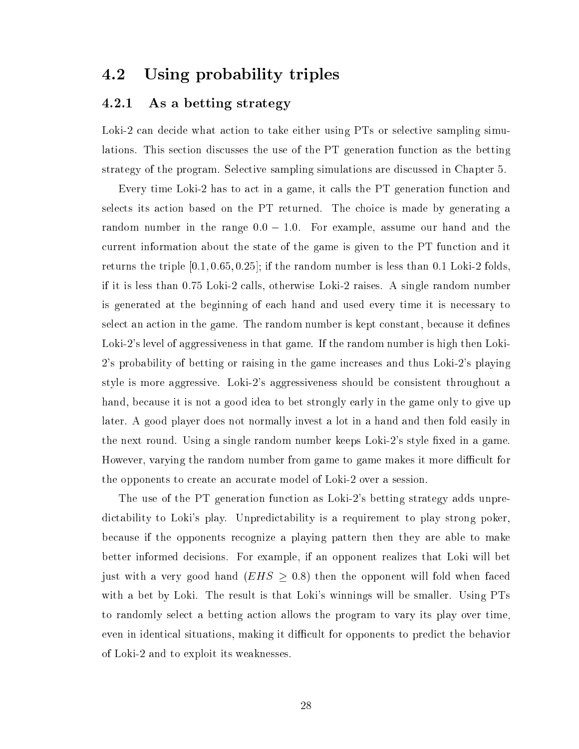### 4.2 Using probability triples

#### 4.2.1 As a betting strategy

Loki-2 can decide what action to take either using PTs or selective sampling simulations. This section discusses the use of the PT generation function as the betting strategy of the program. Sele
tive sampling simulations are dis
ussed in Chapter 5.

Every time Loki-2 has to act in a game, it calls the PT generation function and selects its action based on the PT returned. The choice is made by generating a random number in the range  $0.0 - 1.0$ . For example, assume our hand and the urrent information about the state of the game is given to the PT fun
tion and it returns the triple  $[0.1, 0.65, 0.25]$ ; if the random number is less than 0.1 Loki-2 folds. if it is less than 0.75 Loki-2 alls, otherwise Loki-2 raises. A single random number is generated at the beginning of ea
h hand and used every time it is ne
essary to select an action in the game. The random number is kept constant, because it defines Loki-2's level of aggressiveness in that game. If the random number is high then Loki-2's probability of betting or raising in the game in
reases and thus Loki-2's playing style is more aggressive. Loki-2's aggressiveness should be onsistent throughout a hand, because it is not a good idea to bet strongly early in the game only to give up later. A good player does not normally invest a lot in a hand and then fold easily in the next round. Using a single random number keeps Loki-2's style fixed in a game. However, varying the random number from game to game makes it more difficult for the opponents to create an accurate model of Loki-2 over a session.

The use of the PT generation fun
tion as Loki-2's betting strategy adds unpredictability to Loki's play. Unpredictability is a requirement to play strong poker, be
ause if the opponents re
ognize a playing pattern then they are able to make better informed de
isions. For example, if an opponent realizes that Loki will bet just with a very good hand  $(EHS \geq 0.8)$  then the opponent will fold when faced with a bet by Loki. The result is that Loki's winnings will be smaller. Using PTs to randomly select a betting action allows the program to vary its play over time. even in identical situations, making it difficult for opponents to predict the behavior of Loki-2 and to exploit its weaknesses.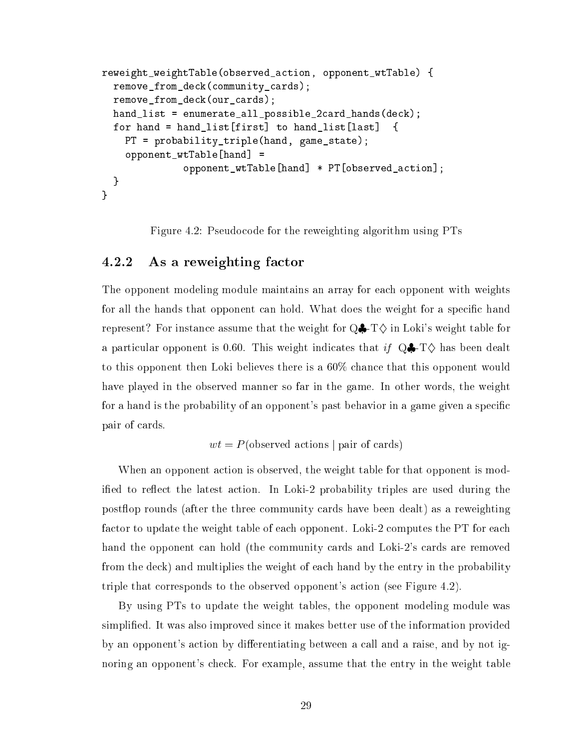```
reweight_weightTable(observed_a
tion, opponent_wtTable) {
  remove_from_deck(community_cards);
  remove_from_de
k(our_
ards);
  hand_list = enumerate_all_possible_2card_hands(deck);
  for hand = hand_list[first] to hand_list[last]
                                                    ſ
    PT = probability_triple(hand, game_state);
    opponent_wtTable[hand] =opponent_wtTable[hand] * PT[observed_action];
  }
\mathbf{r}}
```
Figure 4.2: Pseudocode for the reweighting algorithm using PTs

#### $4.2.2$ As a reweighting factor

The opponent modeling module maintains an array for ea
h opponent with weights for all the hands that opponent can hold. What does the weight for a specific hand represent? For instance assume that the weight for  $Q\clubsuit$ -T $\diamond$  in Loki's weight table for a particular opponent is 0.60. This weight indicates that if  $Q\clubsuit$ -T $\diamondsuit$  has been dealt to this opponent then Loki believes there is a 60% han
e that this opponent would have played in the observed manner so far in the game. In other words, the weight for a hand is the probability of an opponent's past behavior in a game given a specific pair of ards.

$$
wt = P(\text{observed actions} | \text{pair of cards})
$$

When an opponent action is observed, the weight table for that opponent is modified to reflect the latest action. In Loki-2 probability triples are used during the postflop rounds (after the three community cards have been dealt) as a reweighting factor to update the weight table of each opponent. Loki-2 computes the PT for each hand the opponent can hold (the community cards and Loki-2's cards are removed from the de
k) and multiplies the weight of ea
h hand by the entry in the probability triple that orresponds to the observed opponent's a
tion (see Figure 4.2).

By using PTs to update the weight tables, the opponent modeling module was simplied. It was also improved sin
e it makes better use of the information provided by an opponent's action by differentiating between a call and a raise, and by not ignoring an opponent's he
k. For example, assume that the entry in the weight table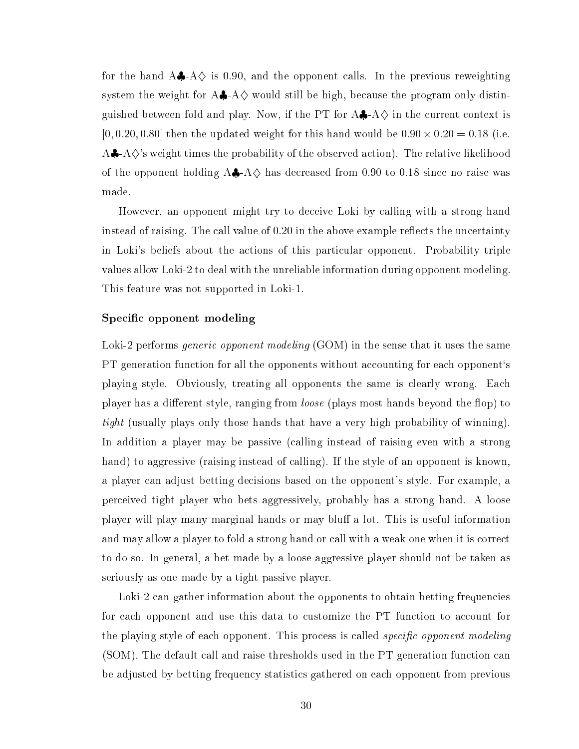for the hand  $A\clubsuit$ -A $\diamondsuit$  is 0.90, and the opponent calls. In the previous reweighting system the weight for  $A\clubsuit$ -A $\diamond$  would still be high, because the program only distinguished between fold and play. Now, if the PT for  $A\clubsuit$ -A $\diamondsuit$  in the current context is [0; 0:20; 0:80℄ then the updated weight for this hand would be 0:90 - 0:20 = 0:18 (i.e. A $\clubsuit$ -A $\diamondsuit$ 's weight times the probability of the observed action). The relative likelihood of the opponent holding  $A\clubsuit$ -A $\diamondsuit$  has decreased from 0.90 to 0.18 since no raise was made.

However, an opponent might try to de
eive Loki by alling with a strong hand instead of raising. The call value of  $0.20$  in the above example reflects the uncertainty in Loki's beliefs about the actions of this particular opponent. Probability triple values allow Loki-2 to deal with the unreliable information during opponent modeling. This feature was not supported in Loki-1.

#### Specific opponent modeling

Loki-2 performs *generic opponent modeling* (GOM) in the sense that it uses the same PT generation function for all the opponents without accounting for each opponent's playing style. Obviously, treating all opponents the same is learly wrong. Ea
h player has a different style, ranging from *loose* (plays most hands beyond the flop) to tight (usually plays only those hands that have a very high probability of winning). In addition a player may be passive (calling instead of raising even with a strong hand) to aggressive (raising instead of calling). If the style of an opponent is known, a player an adjust betting de
isions based on the opponent's style. For example, a per
eived tight player who bets aggressively, probably has a strong hand. A loose player will play many marginal hands or may bluff a lot. This is useful information and may allow a player to fold a strong hand or call with a weak one when it is correct to do so. In general, a bet made by a loose aggressive player should not be taken as seriously as one made by a tight passive player.

Loki-2 can gather information about the opponents to obtain betting frequencies for each opponent and use this data to customize the PT function to account for the playing style of each opponent. This process is called *specific opponent modeling* (SOM). The default call and raise thresholds used in the PT generation function can be adjusted by betting frequen
y statisti
s gathered on ea
h opponent from previous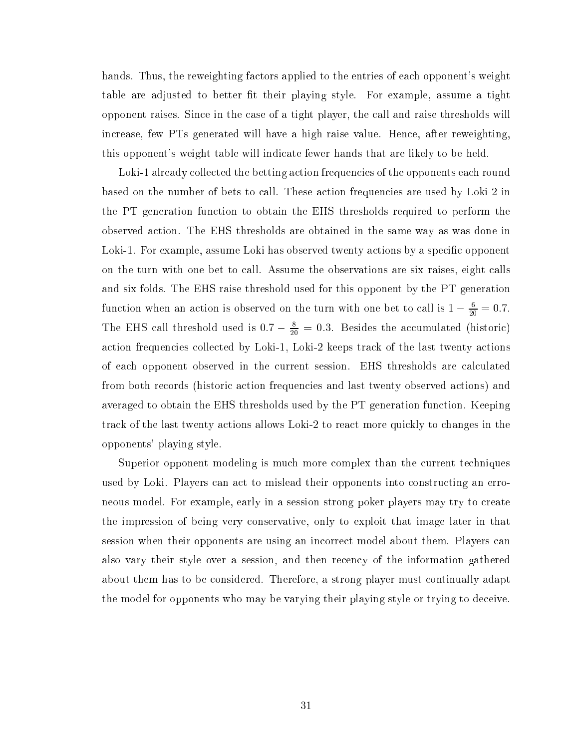hands. Thus, the reweighting factors applied to the entries of each opponent's weight table are adjusted to better fit their playing style. For example, assume a tight opponent raises. Sin
e in the ase of a tight player, the all and raise thresholds will increase, few PTs generated will have a high raise value. Hence, after reweighting, this opponent's weight table will indi
ate fewer hands that are likely to be held.

Loki-1 already collected the betting action frequencies of the opponents each round based on the number of bets to all. These a
tion frequen
ies are used by Loki-2 in the PT generation fun
tion to obtain the EHS thresholds required to perform the observed a
tion. The EHS thresholds are obtained in the same way as was done in Loki-1. For example, assume Loki has observed twenty actions by a specific opponent on the turn with one bet to call. Assume the observations are six raises, eight calls and six folds. The EHS raise threshold used for this opponent by the PT generation function when an action is observed on the turn with one bet to call is  $1 - \frac{1}{20} = 0.7$ . The EHS can threshold used is  $0.7 - \frac{1}{20} = 0.3$ . Besides the accumulated (historic) action frequencies collected by Loki-1, Loki-2 keeps track of the last twenty actions of ea
h opponent observed in the urrent session. EHS thresholds are al
ulated from both records (historic action frequencies and last twenty observed actions) and averaged to obtain the EHS thresholds used by the PT generation function. Keeping track of the last twenty actions allows Loki-2 to react more quickly to changes in the opponents' playing style.

Superior opponent modeling is much more complex than the current techniques used by Loki. Players an a
t to mislead their opponents into onstru
ting an erroneous model. For example, early in a session strong poker players may try to create the impression of being very onservative, only to exploit that image later in that session when their opponents are using an incorrect model about them. Players can also vary their style over a session, and then re
en
y of the information gathered about them has to be onsidered. Therefore, a strong player must ontinually adapt the model for opponents who may be varying their playing style or trying to de
eive.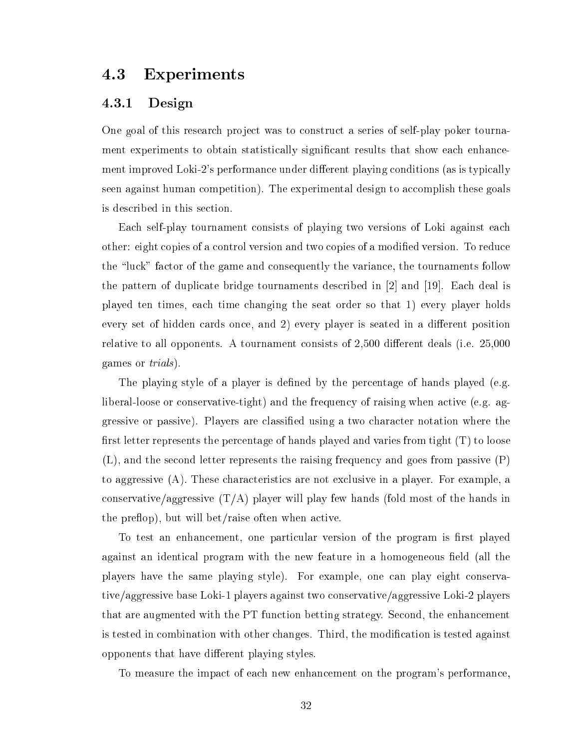#### 4.3 Experiments

#### 4.3.1 Design

One goal of this resear
h proje
t was to onstru
t a series of self-play poker tournament experiments to obtain statistically significant results that show each enhancement improved Loki-2's performance under different playing conditions (as is typically seen against human competition). The experimental design to accomplish these goals is des
ribed in this se
tion.

Each self-play tournament consists of playing two versions of Loki against each other: eight copies of a control version and two copies of a modified version. To reduce the "luck" factor of the game and consequently the variance, the tournaments follow the pattern of duplicate bridge tournaments described in  $[2]$  and  $[19]$ . Each deal is played ten times, ea
h time hanging the seat order so that 1) every player holds every set of hidden cards once, and 2) every player is seated in a different position relative to all opponents. A tournament consists of  $2,500$  different deals (i.e.  $25,000$ ) games or trials).

The playing style of a player is defined by the percentage of hands played (e.g. liberal-loose or conservative-tight) and the frequency of raising when active (e.g. aggressive or passive). Players are lassied using a two hara
ter notation where the first letter represents the percentage of hands played and varies from tight  $(T)$  to loose (L), and the se
ond letter represents the raising frequen
y and goes from passive (P) to aggressive (A). These hara
teristi
s are not ex
lusive in a player. For example, a conservative/aggressive  $(T/A)$  player will play few hands (fold most of the hands in the preflop), but will bet/raise often when active.

To test an enhancement, one particular version of the program is first played against an identical program with the new feature in a homogeneous field (all the players have the same playing style). For example, one can play eight conservative/aggressive base Loki-1 players against two onservative/aggressive Loki-2 players that are augmented with the PT function betting strategy. Second, the enhancement is tested in combination with other changes. Third, the modification is tested against opponents that have different playing styles.

To measure the impact of each new enhancement on the program's performance,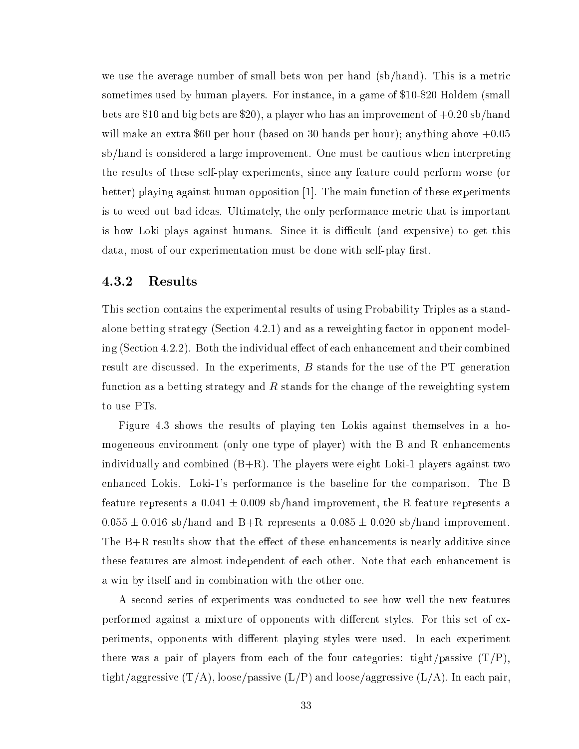we use the average number of small bets won per hand (sb/hand). This is a metric sometimes used by human players. For instance, in a game of \$10-\$20 Holdem (small bets are \$10 and big bets are \$20), a player who has an improvement of  $+0.20 \text{ sb/hand}$ will make an extra \$60 per hour (based on 30 hands per hour); anything above  $+0.05$ sb/hand is onsidered a large improvement. One must be autious when interpreting the results of these self-play experiments, sin
e any feature ould perform worse (or better) playing against human opposition  $[1]$ . The main function of these experiments is to weed out bad ideas. Ultimately, the only performance metric that is important is how Loki plays against humans. Since it is difficult (and expensive) to get this data, most of our experimentation must be done with self-play first.

#### 4.3.2 Results

This se
tion ontains the experimental results of using Probability Triples as a standalone betting strategy (Section 4.2.1) and as a reweighting factor in opponent modeling (Section 4.2.2). Both the individual effect of each enhancement and their combined result are discussed. In the experiments,  $B$  stands for the use of the PT generation fun
tion as a betting strategy and <sup>R</sup> stands for the hange of the reweighting system to use PTs.

Figure 4.3 shows the results of playing ten Lokis against themselves in a homogeneous environment (only one type of player) with the B and R enhan
ements individually and combined  $(B+R)$ . The players were eight Loki-1 players against two enhan
ed Lokis. Loki-1's performan
e is the baseline for the omparison. The B feature represents a  $0.041 \pm 0.009$  sb/hand improvement, the R feature represents a  $0.055 \pm 0.016$  sb/hand and B+R represents a  $0.085 \pm 0.020$  sb/hand improvement. The  $B+R$  results show that the effect of these enhancements is nearly additive since these features are almost independent of each other. Note that each enhancement is a win by itself and in ombination with the other one.

A se
ond series of experiments was ondu
ted to see how well the new features performed against a mixture of opponents with different styles. For this set of experiments, opponents with different playing styles were used. In each experiment there was a pair of players from each of the four categories: tight/passive  $(T/P)$ , tight/aggressive  $(T/A)$ , loose/passive  $(L/P)$  and loose/aggressive  $(L/A)$ . In each pair,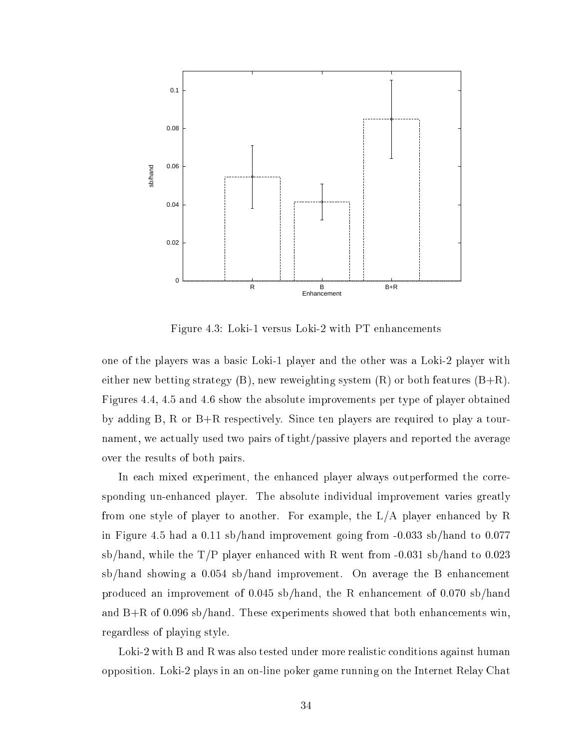

Figure 4.3: Loki-1 versus Loki-2 with PT enhancements

one of the players was a basi Loki-1 player and the other was a Loki-2 player with either new betting strategy  $(B)$ , new reweighting system  $(R)$  or both features  $(B+R)$ . Figures 4.4, 4.5 and 4.6 show the absolute improvements per type of player obtained by adding B, R or B+R respe
tively. Sin
e ten players are required to play a tournament, we a
tually used two pairs of tight/passive players and reported the average over the results of both pairs.

In each mixed experiment, the enhanced player always outperformed the corresponding un-enhan
ed player. The absolute individual improvement varies greatly from one style of player to another. For example, the L/A player enhan
ed by R in Figure 4.5 had a 0.11 sb/hand improvement going from -0.033 sb/hand to 0.077 sb/hand, while the  $T/P$  player enhanced with R went from  $-0.031$  sb/hand to 0.023  $sb/h$  and showing a 0.054 sb/hand improvement. On average the B enhancement produ
ed an improvement of 0.045 sb/hand, the R enhan
ement of 0.070 sb/hand and  $B+R$  of 0.096 sb/hand. These experiments showed that both enhancements win. regardless of playing style.

Loki-2 with B and R was also tested under more realistic conditions against human opposition. Loki-2 plays in an on-line poker game running on the Internet Relay Chat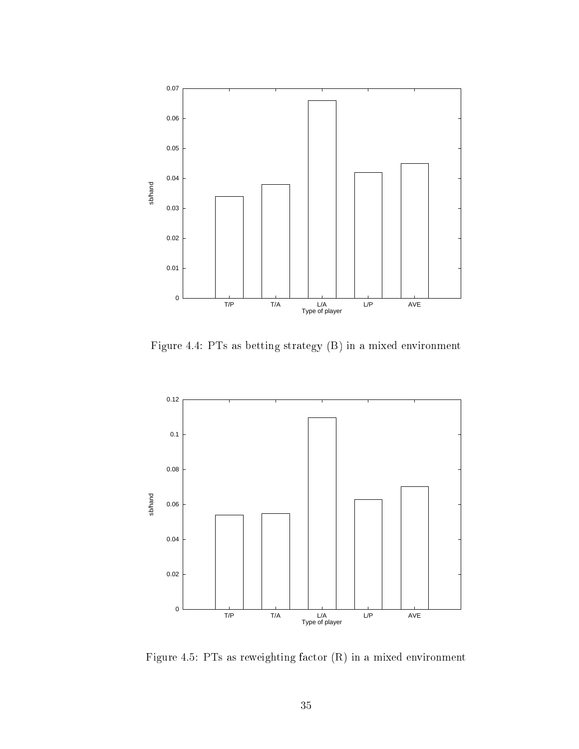

Figure 4.4: PTs as betting strategy (B) in a mixed environment



Figure 4.5: PTs as reweighting fa
tor (R) in a mixed environment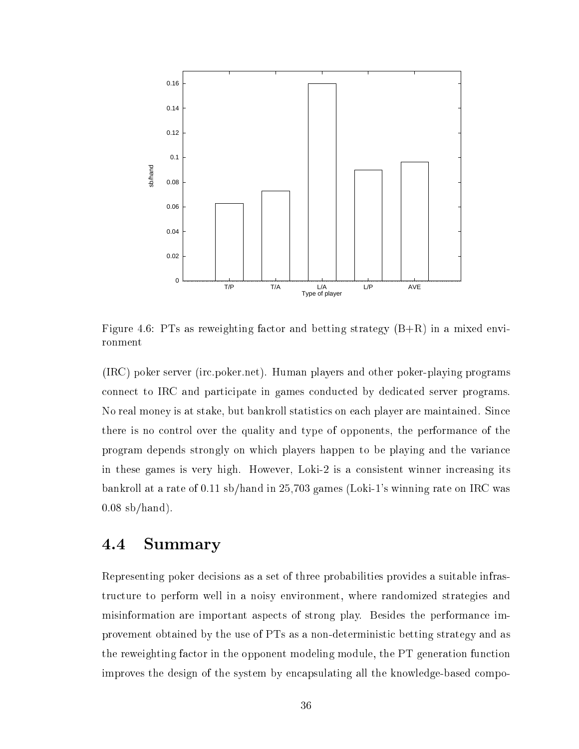

Figure 4.6: PTs as reweighting factor and betting strategy  $(B+R)$  in a mixed environment

(IRC) poker server (ir
.poker.net). Human players and other poker-playing programs onne
t to IRC and parti
ipate in games ondu
ted by dedi
ated server programs. No real money is at stake, but bankroll statistics on each player are maintained. Since there is no ontrol over the quality and type of opponents, the performan
e of the program depends strongly on whi
h players happen to be playing and the varian
e in these games is very high. However, Loki-2 is a consistent winner increasing its bankroll at a rate of 0.11 sb/hand in 25,703 games (Loki-1's winning rate on IRC was  $0.08$  sb/hand).

## 4.4 Summary

Representing poker decisions as a set of three probabilities provides a suitable infrastructure to perform well in a noisy environment, where randomized strategies and misinformation are important aspects of strong play. Besides the performance improvement obtained by the use of PTs as a non-deterministi betting strategy and as the reweighting fa
tor in the opponent modeling module, the PT generation fun
tion improves the design of the system by encapsulating all the knowledge-based compo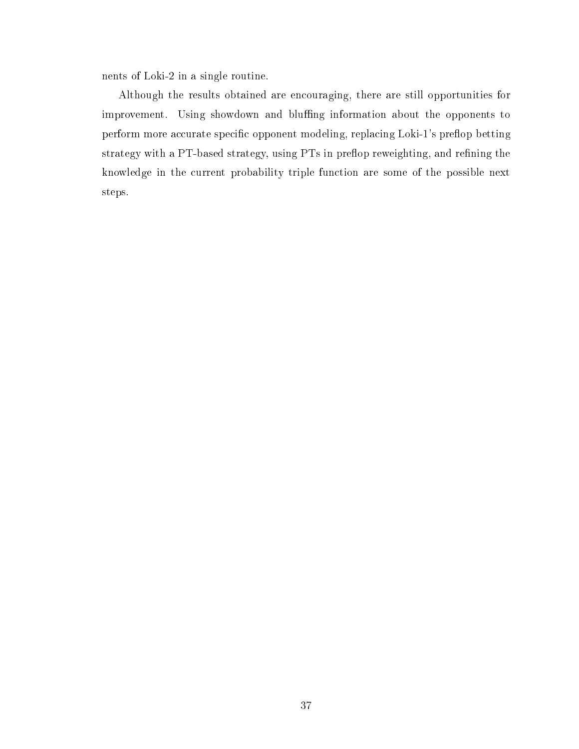nents of Loki-2 in a single routine.

Although the results obtained are en
ouraging, there are still opportunities for improvement. Using showdown and bluffing information about the opponents to perform more accurate specific opponent modeling, replacing Loki-1's preflop betting strategy with a PT-based strategy, using PTs in preflop reweighting, and refining the knowledge in the current probability triple function are some of the possible next steps.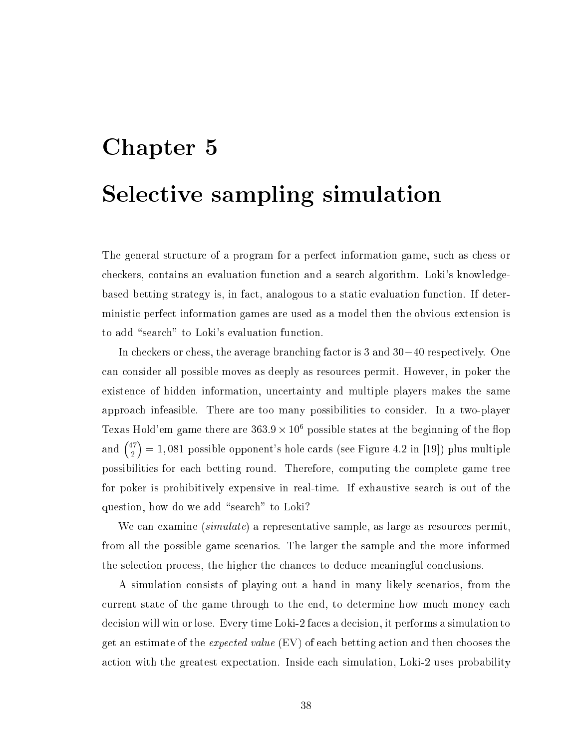# Chapter 5 Sele
tive sampling simulation

The general structure of a program for a perfect information game, such as chess or checkers, contains an evaluation function and a search algorithm. Loki's knowledgebased betting strategy is, in fa
t, analogous to a stati evaluation fun
tion. If deterministi perfe
t information games are used as a model then the obvious extension is to add "search" to Loki's evaluation function.

In checkers or chess, the average branching factor is  $3$  and  $30-40$  respectively. One an onsider all possible moves as deeply as resour
es permit. However, in poker the existen
e of hidden information, un
ertainty and multiple players makes the same approa
h infeasible. There are too many possibilities to onsider. In a two-player Texas Hold'em game there are  $363.9 \times 10^6$  possible states at the beginning of the flop and  $\binom{47}{8}$  $= 1,081$  possible opponent's hole cards (see Figure 4.2 in [19]) plus multiple possibilities for ea
h betting round. Therefore, omputing the omplete game tree for poker is prohibitively expensive in real-time. If exhaustive sear
h is out of the question, how do we add "search" to Loki?

We can examine *(simulate)* a representative sample, as large as resources permit, from all the possible game s
enarios. The larger the sample and the more informed the sele
tion pro
ess, the higher the han
es to dedu
e meaningful on
lusions.

A simulation onsists of playing out a hand in many likely s
enarios, from the urrent state of the game through to the end, to determine how mu
h money ea
h decision will win or lose. Every time Loki-2 faces a decision, it performs a simulation to get an estimate of the *expected value* (EV) of each betting action and then chooses the a
tion with the greatest expe
tation. Inside ea
h simulation, Loki-2 uses probability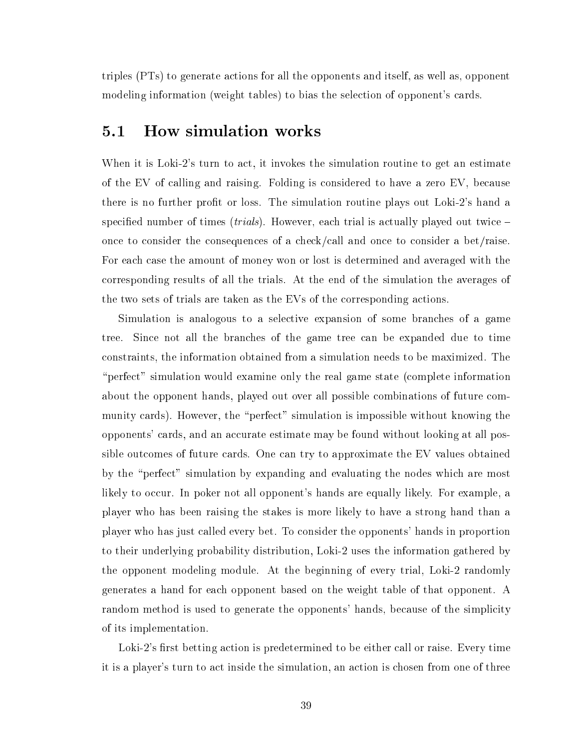triples (PTs) to generate a
tions for all the opponents and itself, as well as, opponent modeling information (weight tables) to bias the selection of opponent's cards.

#### $5.1$ 5.1 How simulation works

When it is Loki-2's turn to act, it invokes the simulation routine to get an estimate of the EV of calling and raising. Folding is considered to have a zero EV, because there is no further profit or loss. The simulation routine plays out Loki-2's hand a specified number of times (*trials*). However, each trial is actually played out twice  $$ on
e to onsider the onsequen
es of a he
k/
all and on
e to onsider a bet/raise. For each case the amount of money won or lost is determined and averaged with the orresponding results of all the trials. At the end of the simulation the averages of the two sets of trials are taken as the EVs of the corresponding actions.

Simulation is analogous to a selective expansion of some branches of a game tree. Sin
e not all the bran
hes of the game tree an be expanded due to time onstraints, the information obtained from a simulation needs to be maximized. The "perfect" simulation would examine only the real game state (complete information about the opponent hands, played out over all possible combinations of future community cards). However, the "perfect" simulation is impossible without knowing the opponents' ards, and an a

urate estimate may be found without looking at all possible out
omes of future ards. One an try to approximate the EV values obtained by the "perfect" simulation by expanding and evaluating the nodes which are most likely to occur. In poker not all opponent's hands are equally likely. For example, a player who has been raising the stakes is more likely to have a strong hand than a player who has just alled every bet. To onsider the opponents' hands in proportion to their underlying probability distribution, Loki-2 uses the information gathered by the opponent modeling module. At the beginning of every trial, Loki-2 randomly generates a hand for ea
h opponent based on the weight table of that opponent. A random method is used to generate the opponents' hands, because of the simplicity of its implementation.

Loki-2's first betting action is predetermined to be either call or raise. Every time it is a player's turn to a
t inside the simulation, an a
tion is hosen from one of three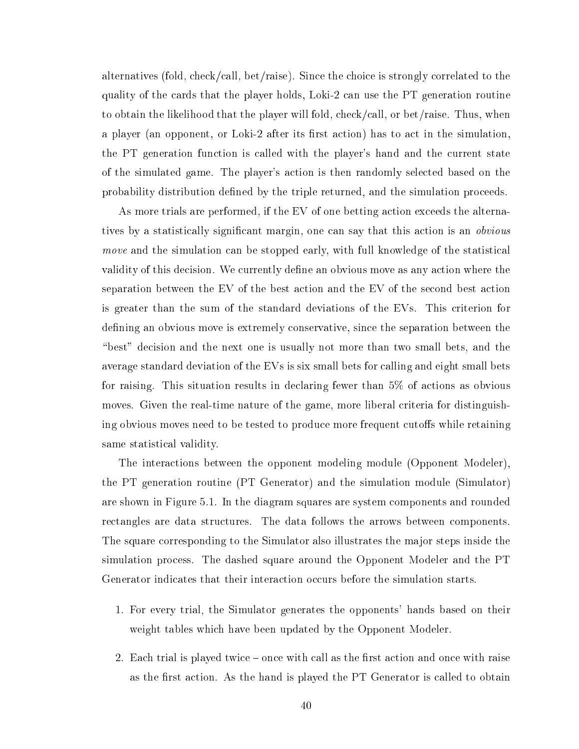alternatives (fold, check/call, bet/raise). Since the choice is strongly correlated to the quality of the ards that the player holds, Loki-2 an use the PT generation routine to obtain the likelihood that the player will fold, check/call, or bet/raise. Thus, when a player (an opponent, or Loki-2 after its first action) has to act in the simulation. the PT generation function is called with the player's hand and the current state of the simulated game. The player's a
tion is then randomly sele
ted based on the probability distribution defined by the triple returned, and the simulation proceeds.

As more trials are performed, if the EV of one betting action exceeds the alternatives by a statistically significant margin, one can say that this action is an *obvious* move and the simulation can be stopped early, with full knowledge of the statistical validity of this decision. We currently define an obvious move as any action where the separation between the EV of the best action and the EV of the second best action is greater than the sum of the standard deviations of the EVs. This criterion for defining an obvious move is extremely conservative, since the separation between the "best" decision and the next one is usually not more than two small bets, and the average standard deviation of the EVs is six small bets for calling and eight small bets for raising. This situation results in de
laring fewer than 5% of a
tions as obvious moves. Given the real-time nature of the game, more liberal criteria for distinguishing obvious moves need to be tested to produce more frequent cutoffs while retaining same statisti
al validity.

The intera
tions between the opponent modeling module (Opponent Modeler), the PT generation routine (PT Generator) and the simulation module (Simulator) are shown in Figure 5.1. In the diagram squares are system omponents and rounded rectangles are data structures. The data follows the arrows between components. The square orresponding to the Simulator also illustrates the major steps inside the simulation pro
ess. The dashed square around the Opponent Modeler and the PT Generator indicates that their interaction occurs before the simulation starts.

- 1. For every trial, the Simulator generates the opponents' hands based on their weight tables which have been updated by the Opponent Modeler.
- 2. Each trial is played twice once with call as the first action and once with raise as the first action. As the hand is played the PT Generator is called to obtain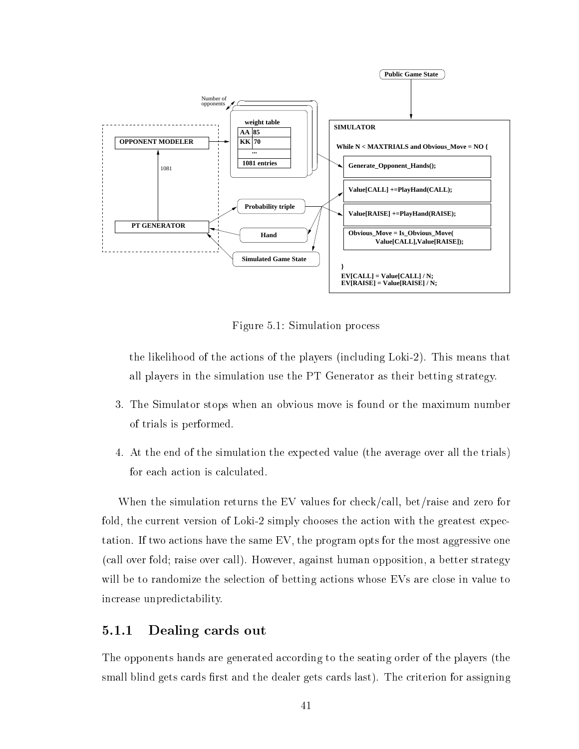

Figure 5.1: Simulation pro
ess

the likelihood of the a
tions of the players (in
luding Loki-2). This means that all players in the simulation use the PT Generator as their betting strategy.

- 3. The Simulator stops when an obvious move is found or the maximum number of trials is performed.
- 4. At the end of the simulation the expe
ted value (the average over all the trials) for each action is calculated.

When the simulation returns the EV values for check/call, bet/raise and zero for fold, the current version of Loki-2 simply chooses the action with the greatest expectation. If two actions have the same EV, the program opts for the most aggressive one (
all over fold; raise over all). However, against human opposition, a better strategy will be to randomize the selection of betting actions whose EVs are close in value to in
rease unpredi
tability.

#### $5.1.1$ Dealing cards out

The opponents hands are generated according to the seating order of the players (the small blind gets cards first and the dealer gets cards last). The criterion for assigning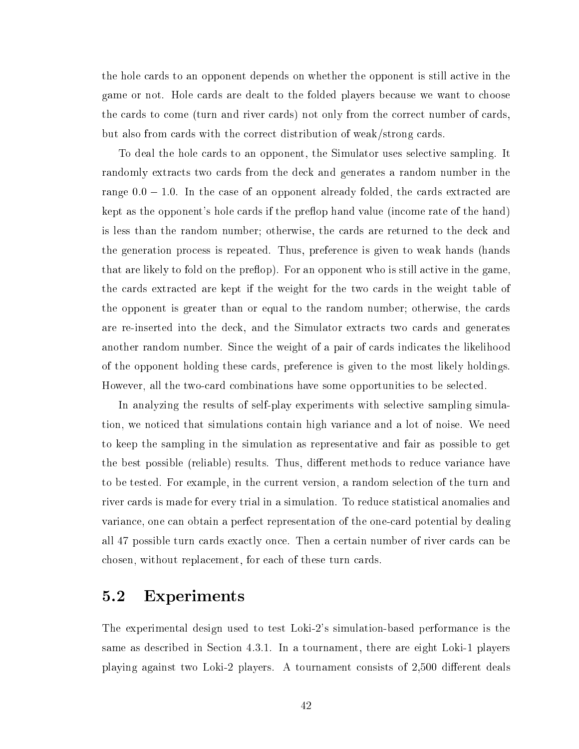the hole cards to an opponent depends on whether the opponent is still active in the game or not. Hole ards are dealt to the folded players be
ause we want to hoose the cards to come (turn and river cards) not only from the correct number of cards. but also from ards with the orre
t distribution of weak/strong ards.

To deal the hole ards to an opponent, the Simulator uses sele
tive sampling. It randomly extracts two cards from the deck and generates a random number in the range  $0.0 - 1.0$ . In the case of an opponent already folded, the cards extracted are kept as the opponent's hole cards if the preflop hand value (income rate of the hand) is less than the random number; otherwise, the ards are returned to the de
k and the generation pro
ess is repeated. Thus, preferen
e is given to weak hands (hands that are likely to fold on the preflop). For an opponent who is still active in the game, the ards extra
ted are kept if the weight for the two ards in the weight table of the opponent is greater than or equal to the random number; otherwise, the ards are re-inserted into the deck, and the Simulator extracts two cards and generates another random number. Since the weight of a pair of cards indicates the likelihood of the opponent holding these ards, preferen
e is given to the most likely holdings. However, all the two-card combinations have some opportunities to be selected.

In analyzing the results of self-play experiments with selective sampling simulation, we noti
ed that simulations ontain high varian
e and a lot of noise. We need to keep the sampling in the simulation as representative and fair as possible to get the best possible (reliable) results. Thus, different methods to reduce variance have to be tested. For example, in the current version, a random selection of the turn and river ards is made for every trial in a simulation. To redu
e statisti
al anomalies and varian
e, one an obtain a perfe
t representation of the oneard potential by dealing all 47 possible turn cards exactly once. Then a certain number of river cards can be hosen, without repla
ement, for ea
h of these turn ards.

### 5.2 Experiments

The experimental design used to test Loki-2's simulation-based performan
e is the same as described in Section 4.3.1. In a tournament, there are eight Loki-1 players playing against two Loki-2 players. A tournament consists of 2,500 different deals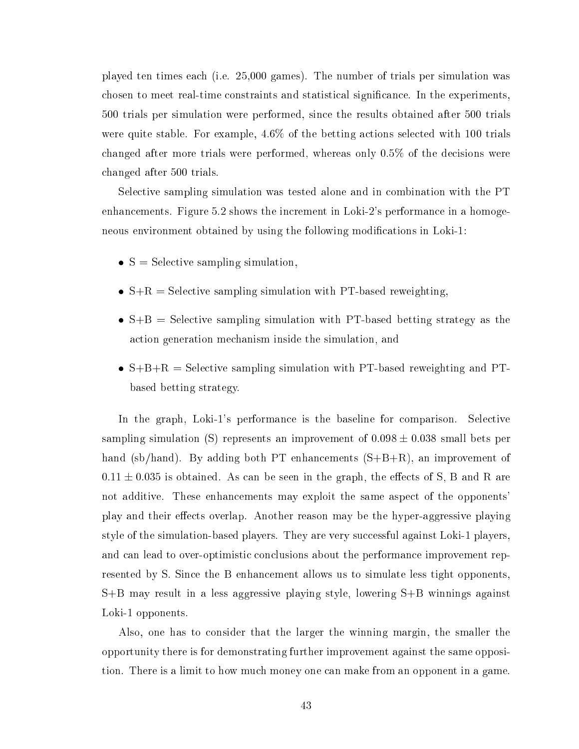played ten times ea
h (i.e. 25,000 games). The number of trials per simulation was chosen to meet real-time constraints and statistical significance. In the experiments, 500 trials per simulation were performed, sin
e the results obtained after 500 trials were quite stable. For example,  $4.6\%$  of the betting actions selected with 100 trials hanged after more trials were performed, whereas only 0.5% of the de
isions were hanged after 500 trials.

Sele
tive sampling simulation was tested alone and in ombination with the PT enhan
ements. Figure 5.2 shows the in
rement in Loki-2's performan
e in a homogeneous environment obtained by using the following modifications in Loki-1:

- $\bullet$  S = Selective sampling simulation,
- $\bullet$  S+R = Selective sampling simulation with PT-based reweighting,
- $\bullet$  S+B = Selective sampling simulation with PT-based betting strategy as the a
tion generation me
hanism inside the simulation, and
- $\bullet$  S+B+R = Selective sampling simulation with PT-based reweighting and PTbased betting strategy.

In the graph, Loki-1's performance is the baseline for comparison. Selective sampling simulation (S) represents an improvement of  $0.098 \pm 0.038$  small bets per hand (sb/hand). By adding both PT enhancements  $(S+B+R)$ , an improvement of  $0.11 \pm 0.035$  is obtained. As can be seen in the graph, the effects of S, B and R are not additive. These enhan
ements may exploit the same aspe
t of the opponents' play and their effects overlap. Another reason may be the hyper-aggressive playing style of the simulation-based players. They are very successful against Loki-1 players. and can lead to over-optimistic conclusions about the performance improvement represented by S. Sin
e the B enhan
ement allows us to simulate less tight opponents, S+B may result in a less aggressive playing style, lowering S+B winnings against Loki-1 opponents.

Also, one has to onsider that the larger the winning margin, the smaller the opportunity there is for demonstrating further improvement against the same opposition. There is a limit to how mu
h money one an make from an opponent in a game.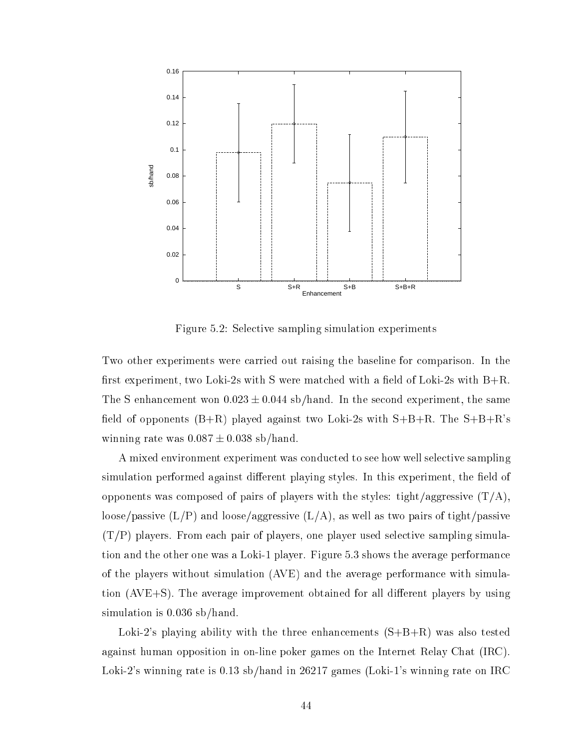

Figure 5.2: Selective sampling simulation experiments

Two other experiments were carried out raising the baseline for comparison. In the first experiment, two Loki-2s with S were matched with a field of Loki-2s with  $B+R$ . The S enhancement won  $0.023 \pm 0.044$  sb/hand. In the second experiment, the same field of opponents  $(B+R)$  played against two Loki-2s with  $S+B+R$ . The  $S+B+R$ 's winning rate was  $0.087 \pm 0.038$  sb/hand.

A mixed environment experiment was ondu
ted to see how well sele
tive sampling simulation performed against different playing styles. In this experiment, the field of opponents was composed of pairs of players with the styles: tight/aggressive  $(T/A)$ , loose/passive  $(L/P)$  and loose/aggressive  $(L/A)$ , as well as two pairs of tight/passive  $(T/P)$  players. From each pair of players, one player used selective sampling simulation and the other one was a Loki-1 player. Figure 5.3 shows the average performan
e of the players without simulation (AVE) and the average performan
e with simulation  $(AVE+S)$ . The average improvement obtained for all different players by using simulation is 0.036 sb/hand.

Loki-2's playing ability with the three enhancements  $(S+B+R)$  was also tested against human opposition in on-line poker games on the Internet Relay Chat (IRC). Loki-2's winning rate is 0.13 sb/hand in 26217 games (Loki-1's winning rate on IRC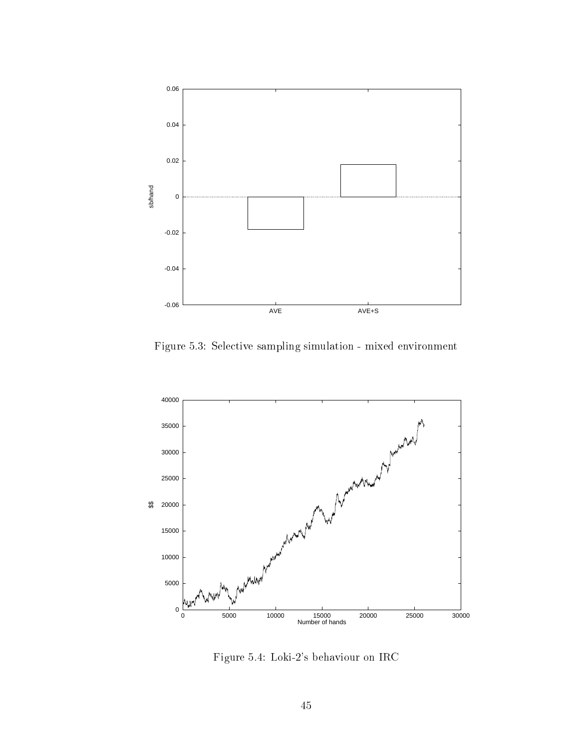

Figure 5.3: Sele
tive sampling simulation - mixed environment



Figure 5.4: Loki-2's behaviour on IRC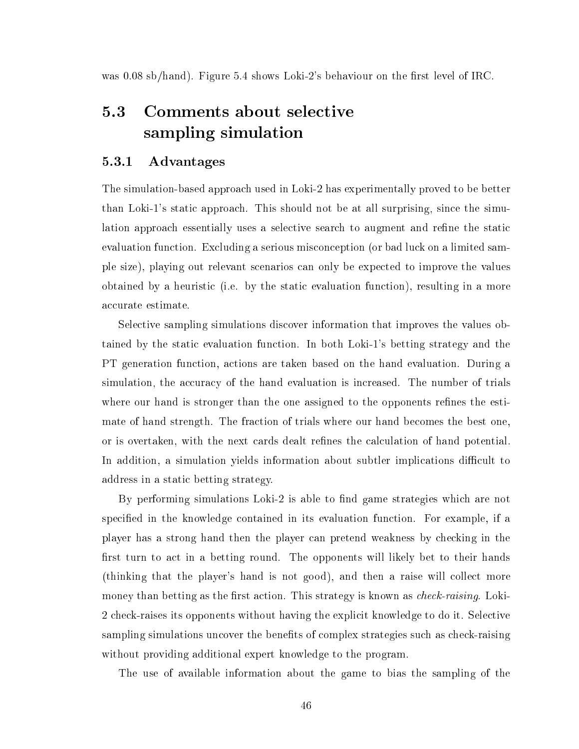was  $0.08 \text{ sb/hand}$ . Figure 5.4 shows Loki-2's behaviour on the first level of IRC.

#### $5.3$ Comments about selective sampling simulation

#### 5.3.1 5.3.1 Advantages

The simulation-based approach used in Loki-2 has experimentally proved to be better than Loki-1's stati approa
h. This should not be at all surprising, sin
e the simulation approach essentially uses a selective search to augment and refine the static evaluation function. Excluding a serious misconception (or bad luck on a limited sample size), playing out relevant s
enarios an only be expe
ted to improve the values obtained by a heuristi (i.e. by the stati evaluation fun
tion), resulting in a more accurate estimate.

Sele
tive sampling simulations dis
over information that improves the values obtained by the static evaluation function. In both Loki-1's betting strategy and the PT generation fun
tion, a
tions are taken based on the hand evaluation. During a simulation, the accuracy of the hand evaluation is increased. The number of trials where our hand is stronger than the one assigned to the opponents refines the estimate of hand strength. The fra
tion of trials where our hand be
omes the best one, or is overtaken, with the next cards dealt refines the calculation of hand potential. In addition, a simulation yields information about subtler implications difficult to address in a stati betting strategy.

By performing simulations Loki-2 is able to find game strategies which are not specified in the knowledge contained in its evaluation function. For example, if a player has a strong hand then the player can pretend weakness by checking in the first turn to act in a betting round. The opponents will likely bet to their hands (thinking that the player's hand is not good), and then a raise will olle
t more money than betting as the first action. This strategy is known as *check-raising*. Loki-2 check-raises its opponents without having the explicit knowledge to do it. Selective sampling simulations uncover the benefits of complex strategies such as check-raising without providing additional expert knowledge to the program.

The use of available information about the game to bias the sampling of the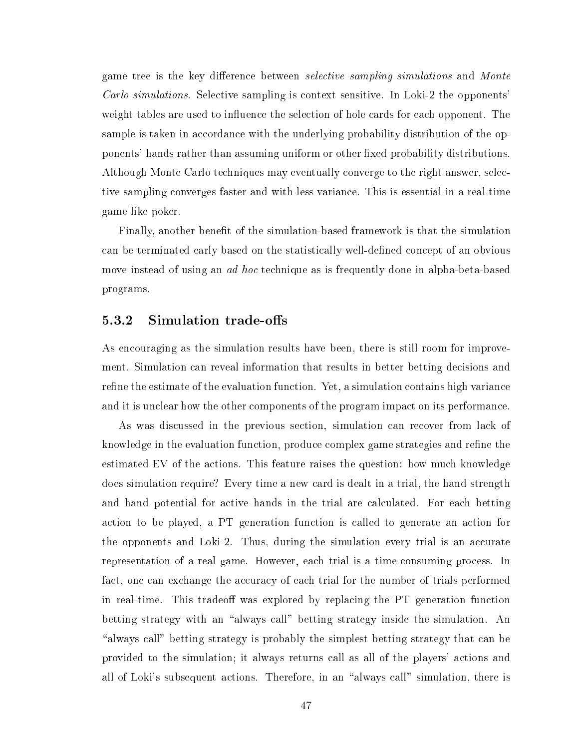game tree is the key difference between *selective sampling simulations* and *Monte* Carlo simulations. Selective sampling is context sensitive. In Loki-2 the opponents' weight tables are used to influence the selection of hole cards for each opponent. The sample is taken in accordance with the underlying probability distribution of the opponents' hands rather than assuming uniform or other fixed probability distributions. Although Monte Carlo techniques may eventually converge to the right answer, selective sampling onverges faster and with less varian
e. This is essential in a real-time game like poker.

Finally, another benet of the simulation-based framework is that the simulation an be terminated early based on the statisti
ally well-dened on
ept of an obvious move instead of using an *ad hoc* technique as is frequently done in alpha-beta-based programs.

#### 5.3.2 Simulation trade-offs

As encouraging as the simulation results have been, there is still room for improvement. Simulation can reveal information that results in better betting decisions and refine the estimate of the evaluation function. Yet, a simulation contains high variance and it is unclear how the other components of the program impact on its performance.

As was discussed in the previous section, simulation can recover from lack of knowledge in the evaluation function, produce complex game strategies and refine the estimated EV of the a
tions. This feature raises the question: how mu
h knowledge does simulation require? Every time a new ard is dealt in a trial, the hand strength and hand potential for active hands in the trial are calculated. For each betting a
tion to be played, a PT generation fun
tion is alled to generate an a
tion for the opponents and Loki-2. Thus, during the simulation every trial is an accurate representation of a real game. However, each trial is a time-consuming process. In fact, one can exchange the accuracy of each trial for the number of trials performed in real-time. This tradeoff was explored by replacing the PT generation function betting strategy with an "always call" betting strategy inside the simulation. An "always call" betting strategy is probably the simplest betting strategy that can be provided to the simulation; it always returns all as all of the players' a
tions and all of Loki's subsequent actions. Therefore, in an "always call" simulation, there is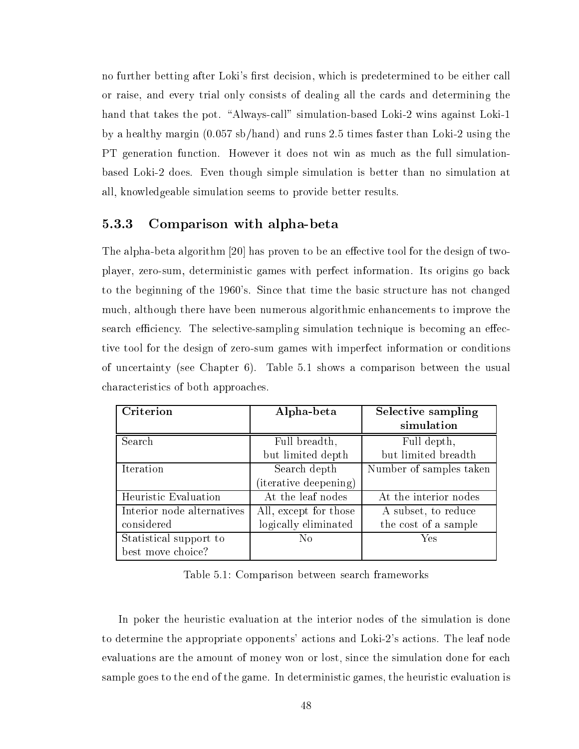no further betting after Loki's first decision, which is predetermined to be either call or raise, and every trial only onsists of dealing all the ards and determining the hand that takes the pot. "Always-call" simulation-based Loki-2 wins against Loki-1 by a healthy margin (0.057 sb/hand) and runs 2.5 times faster than Loki-2 using the PT generation fun
tion. However it does not win as mu
h as the full simulationbased Loki-2 does. Even though simple simulation is better than no simulation at all, knowledgeable simulation seems to provide better results.

#### 5.3.3 Comparison with alpha-beta

The alpha-beta algorithm  $[20]$  has proven to be an effective tool for the design of twoplayer, zero-sum, deterministi games with perfe
t information. Its origins go ba
k to the beginning of the 1960's. Since that time the basic structure has not changed mu
h, although there have been numerous algorithmi enhan
ements to improve the search efficiency. The selective-sampling simulation technique is becoming an effective tool for the design of zero-sum games with imperfect information or conditions of un
ertainty (see Chapter 6). Table 5.1 shows a omparison between the usual hara
teristi
s of both approa
hes.

| Criterion                  | Alpha-beta            | Selective sampling      |
|----------------------------|-----------------------|-------------------------|
|                            |                       | simulation              |
| Search                     | Full breadth,         | Full depth,             |
|                            | but limited depth     | but limited breadth     |
| Iteration                  | Search depth          | Number of samples taken |
|                            | (iterative deepening) |                         |
| Heuristic Evaluation       | At the leaf nodes     | At the interior nodes   |
| Interior node alternatives | All, except for those | A subset, to reduce     |
| considered                 | logically eliminated  | the cost of a sample    |
| Statistical support to     | No                    | Yes                     |
| best move choice?          |                       |                         |

Table 5.1: Comparison between sear
h frameworks

In poker the heuristic evaluation at the interior nodes of the simulation is done to determine the appropriate opponents' actions and Loki-2's actions. The leaf node evaluations are the amount of money won or lost, since the simulation done for each sample goes to the end of the game. In deterministic games, the heuristic evaluation is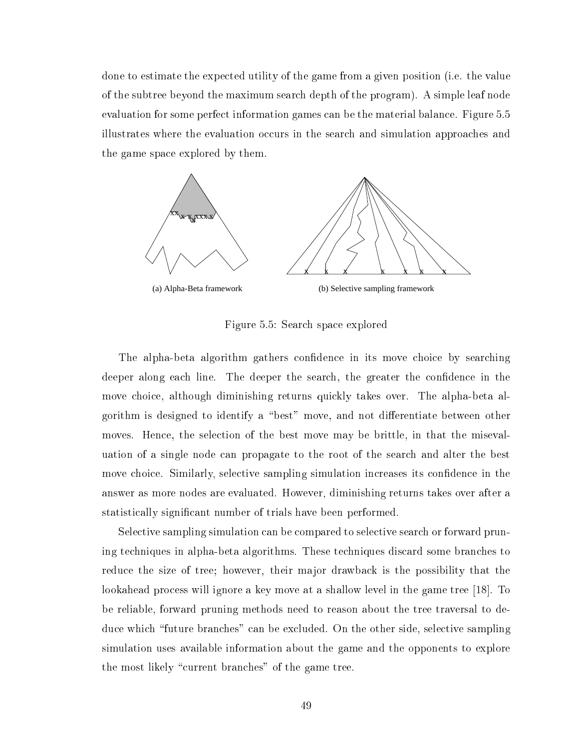done to estimate the expe
ted utility of the game from a given position (i.e. the value of the subtree beyond the maximum sear
h depth of the program). A simple leaf node evaluation for some perfe
t information games an be the material balan
e. Figure 5.5 illustrates where the evaluation occurs in the search and simulation approaches and the game spa
e explored by them.



Figure 5.5: Sear
h spa
e explored

The alpha-beta algorithm gathers confidence in its move choice by searching deeper along each line. The deeper the search, the greater the confidence in the move choice, although diminishing returns quickly takes over. The alpha-beta algorithm is designed to identify a "best" move, and not differentiate between other moves. Hence, the selection of the best move may be brittle, in that the misevaluation of a single node an propagate to the root of the sear
h and alter the best move choice. Similarly, selective sampling simulation increases its confidence in the answer as more nodes are evaluated. However, diminishing returns takes over after a statisti
ally signi
ant number of trials have been performed.

Selective sampling simulation can be compared to selective search or forward pruning te
hniques in alpha-beta algorithms. These te
hniques dis
ard some bran
hes to redu
e the size of tree; however, their major drawba
k is the possibility that the lookahead process will ignore a key move at a shallow level in the game tree  $[18]$ . To be reliable, forward pruning methods need to reason about the tree traversal to deduce which "future branches" can be excluded. On the other side, selective sampling simulation uses available information about the game and the opponents to explore the most likely "current branches" of the game tree.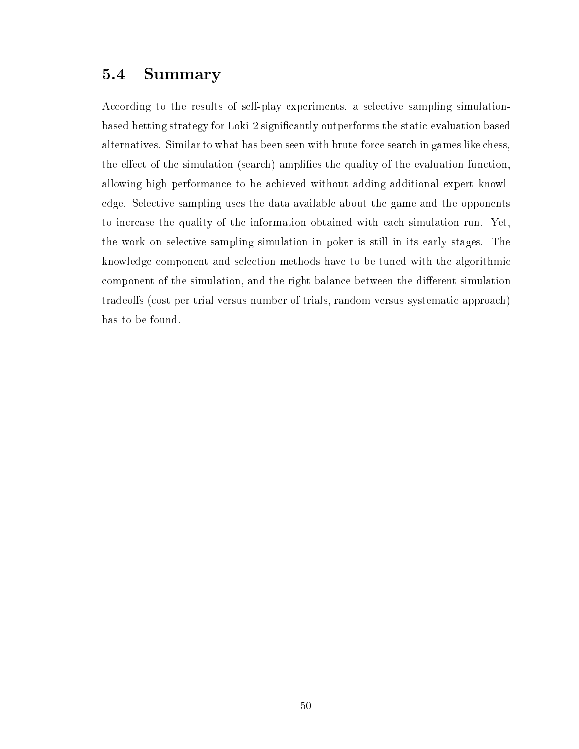## 5.4 Summary

According to the results of self-play experiments, a selective sampling simulationbased betting strategy for Loki-2 significantly outperforms the static-evaluation based alternatives. Similar to what has been seen with brute-for
e sear
h in games like hess, the effect of the simulation (search) amplifies the quality of the evaluation function, allowing high performan
e to be a
hieved without adding additional expert knowledge. Sele
tive sampling uses the data available about the game and the opponents to in
rease the quality of the information obtained with ea
h simulation run. Yet, the work on sele
tive-sampling simulation in poker is still in its early stages. The knowledge omponent and sele
tion methods have to be tuned with the algorithmi component of the simulation, and the right balance between the different simulation tradeoffs (cost per trial versus number of trials, random versus systematic approach) has to be found.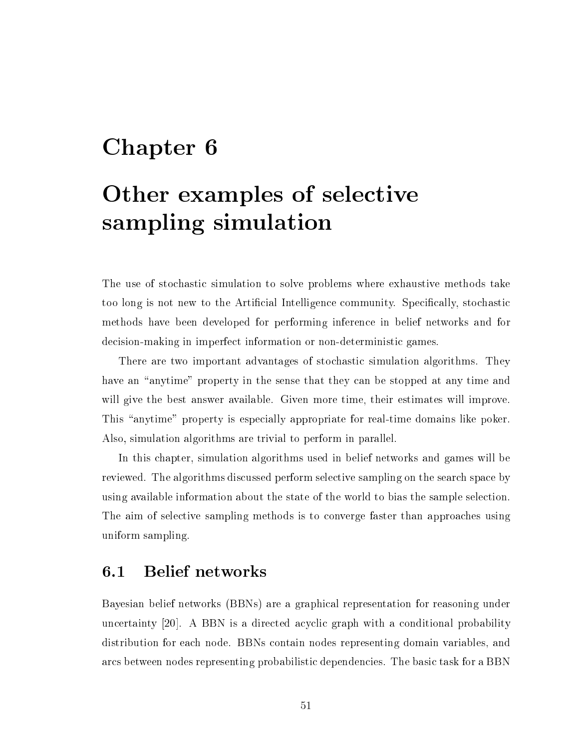## Chapter 6

## Other examples of selective sampling simulation

The use of stochastic simulation to solve problems where exhaustive methods take too long is not new to the Artificial Intelligence community. Specifically, stochastic methods have been developed for performing inferen
e in belief networks and for decision-making in imperfect information or non-deterministic games.

There are two important advantages of stochastic simulation algorithms. They have an "anytime" property in the sense that they can be stopped at any time and will give the best answer available. Given more time, their estimates will improve. This "anytime" property is especially appropriate for real-time domains like poker. Also, simulation algorithms are trivial to perform in parallel.

In this hapter, simulation algorithms used in belief networks and games will be reviewed. The algorithms discussed perform selective sampling on the search space by using available information about the state of the world to bias the sample sele
tion. The aim of sele
tive sampling methods is to onverge faster than approa
hes using uniform sampling.

#### 6.1 Belief networks  $6.1$

Bayesian belief networks (BBNs) are a graphi
al representation for reasoning under uncertainty [20]. A BBN is a directed acyclic graph with a conditional probability distribution for ea
h node. BBNs ontain nodes representing domain variables, and ar
s between nodes representing probabilisti dependen
ies. The basi task for a BBN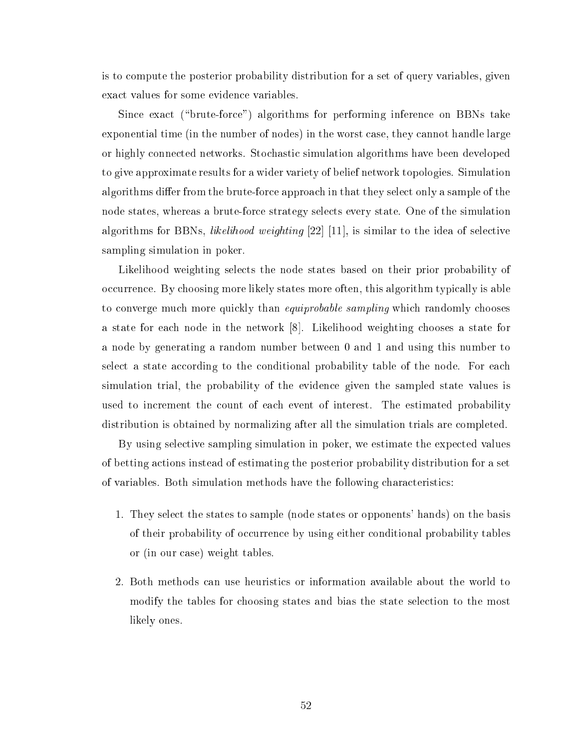is to ompute the posterior probability distribution for a set of query variables, given exa
t values for some eviden
e variables.

Since exact ("brute-force") algorithms for performing inference on BBNs take exponential time (in the number of nodes) in the worst case, they cannot handle large or highly onne
ted networks. Sto
hasti simulation algorithms have been developed to give approximate results for a wider variety of belief network topologies. Simulation algorithms differ from the brute-force approach in that they select only a sample of the node states, whereas a brute-for
e strategy sele
ts every state. One of the simulation algorithms for BBNs, *likelihood weighting*  $[22]$  [11], is similar to the idea of selective sampling simulation in poker.

Likelihood weighting selects the node states based on their prior probability of occurrence. By choosing more likely states more often, this algorithm typically is able to converge much more quickly than *equiprobable sampling* which randomly chooses a state for each node in the network [8]. Likelihood weighting chooses a state for a node by generating a random number between 0 and 1 and using this number to select a state according to the conditional probability table of the node. For each simulation trial, the probability of the eviden
e given the sampled state values is used to increment the count of each event of interest. The estimated probability distribution is obtained by normalizing after all the simulation trials are ompleted.

By using selective sampling simulation in poker, we estimate the expected values of betting a
tions instead of estimating the posterior probability distribution for a set of variables. Both simulation methods have the following characteristics:

- 1. They sele
t the states to sample (node states or opponents' hands) on the basis of their probability of occurrence by using either conditional probability tables or (in our ase) weight tables.
- 2. Both methods an use heuristi
s or information available about the world to modify the tables for hoosing states and bias the state sele
tion to the most likely ones.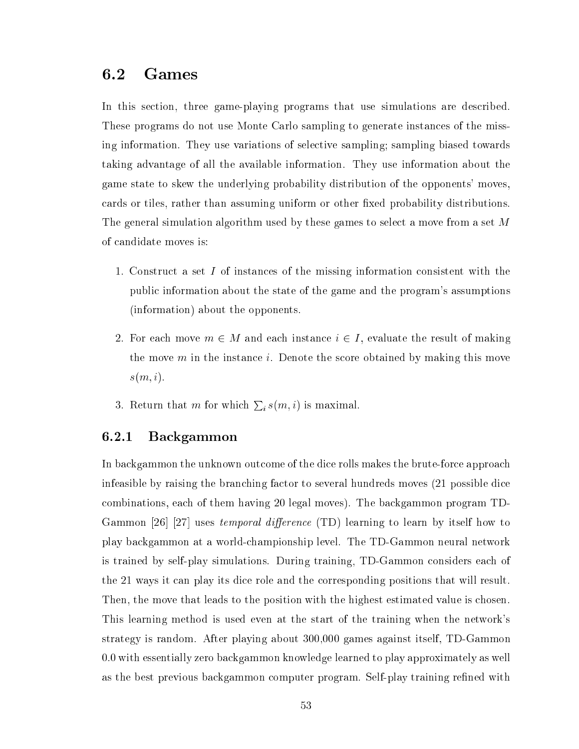### 6.2 Games

In this section, three game-playing programs that use simulations are described. These programs do not use Monte Carlo sampling to generate instan
es of the missing information. They use variations of sele
tive sampling; sampling biased towards taking advantage of all the available information. They use information about the game state to skew the underlying probability distribution of the opponents' moves, cards or tiles, rather than assuming uniform or other fixed probability distributions. The general simulation algorithm used by these games to select a move from a set M of andidate moves is:

- 1. Constru
t a set <sup>I</sup> of instan
es of the missing information onsistent with the publi information about the state of the game and the program's assumptions (information) about the opponents.
- 2. For each move  $m \in M$  and each instance  $i \in I$ , evaluate the result of making the move  $m$  in the instance i. Denote the score obtained by making this move  $s(m, i)$ .
- 3. Return that m for which  $\sum_i s(m,i)$  is maximal.

#### 6.2.1 Ba
kgammon

In backgammon the unknown outcome of the dice rolls makes the brute-force approach infeasible by raising the bran
hing fa
tor to several hundreds moves (21 possible di
e combinations, each of them having 20 legal moves). The backgammon program TD-Gammon [26] [27] uses temporal difference (TD) learning to learn by itself how to play ba
kgammon at a worldhampionship level. The TD-Gammon neural network is trained by self-play simulations. During training, TD-Gammon onsiders ea
h of the 21 ways it an play its di
e role and the orresponding positions that will result. Then, the move that leads to the position with the highest estimated value is chosen. This learning method is used even at the start of the training when the network's strategy is random. After playing about 300,000 games against itself, TD-Gammon 0.0 with essentially zero ba
kgammon knowledge learned to play approximately as well as the best previous backgammon computer program. Self-play training refined with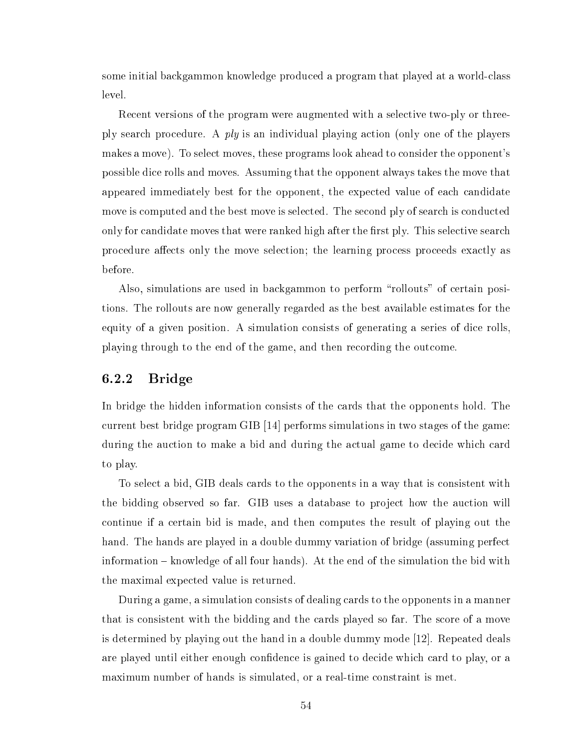some initial ba
kgammon knowledge produ
ed a program that played at a worldlass level.

Recent versions of the program were augmented with a selective two-ply or threeply sear
h pro
edure. A ply is an individual playing a
tion (only one of the players makes a move). To select moves, these programs look ahead to consider the opponent's possible di
e rolls and moves. Assuming that the opponent always takes the move that appeared immediately best for the opponent, the expected value of each candidate move is computed and the best move is selected. The second ply of search is conducted only for candidate moves that were ranked high after the first ply. This selective search procedure affects only the move selection; the learning process proceeds exactly as before.

Also, simulations are used in backgammon to perform "rollouts" of certain positions. The rollouts are now generally regarded as the best available estimates for the equity of a given position. A simulation consists of generating a series of dice rolls, playing through to the end of the game, and then re
ording the out
ome.

#### 6.2.2 Bridge

In bridge the hidden information consists of the cards that the opponents hold. The current best bridge program GIB  $[14]$  performs simulations in two stages of the game: during the auction to make a bid and during the actual game to decide which card to play.

To sele
t a bid, GIB deals ards to the opponents in a way that is onsistent with the bidding observed so far. GIB uses a database to proje
t how the au
tion will ontinue if a ertain bid is made, and then omputes the result of playing out the hand. The hands are played in a double dummy variation of bridge (assuming perfect information  ${\bf -}$  knowledge of all four hands). At the end of the simulation the bid with the maximal expe
ted value is returned.

During a game, a simulation consists of dealing cards to the opponents in a manner that is consistent with the bidding and the cards played so far. The score of a move is determined by playing out the hand in a double dummy mode  $[12]$ . Repeated deals are played until either enough confidence is gained to decide which card to play, or a maximum number of hands is simulated, or a real-time constraint is met.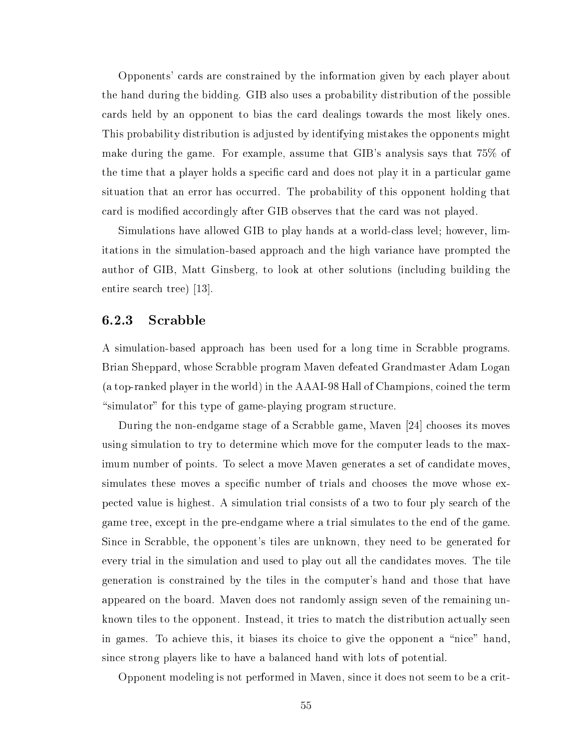Opponents' ards are onstrained by the information given by ea
h player about the hand during the bidding. GIB also uses a probability distribution of the possible ards held by an opponent to bias the ard dealings towards the most likely ones. This probability distribution is adjusted by identifying mistakes the opponents might make during the game. For example, assume that GIB's analysis says that 75% of the time that a player holds a specific card and does not play it in a particular game situation that an error has occurred. The probability of this opponent holding that card is modified accordingly after GIB observes that the card was not played.

Simulations have allowed GIB to play hands at a worldlass level; however, limitations in the simulation-based approa
h and the high varian
e have prompted the author of GIB, Matt Ginsberg, to look at other solutions (in
luding building the entire search tree) [13].

#### 6.2.3 S
rabble

A simulation-based approach has been used for a long time in Scrabble programs. Brian Sheppard, whose S
rabble program Maven defeated Grandmaster Adam Logan (a top-ranked player in the world) in the AAAI-98 Hall of Champions, oined the term "simulator" for this type of game-playing program structure.

During the non-endgame stage of a Scrabble game, Maven [24] chooses its moves using simulation to try to determine whi
h move for the omputer leads to the maximum number of points. To select a move Maven generates a set of candidate moves. simulates these moves a specific number of trials and chooses the move whose expe
ted value is highest. A simulation trial onsists of a two to four ply sear
h of the game tree, ex
ept in the pre-endgame where a trial simulates to the end of the game. Since in Scrabble, the opponent's tiles are unknown, they need to be generated for every trial in the simulation and used to play out all the andidates moves. The tile generation is onstrained by the tiles in the omputer's hand and those that have appeared on the board. Maven does not randomly assign seven of the remaining unknown tiles to the opponent. Instead, it tries to match the distribution actually seen in games. To achieve this, it biases its choice to give the opponent a "nice" hand, sin
e strong players like to have a balan
ed hand with lots of potential.

Opponent modeling is not performed in Maven, sin
e it does not seem to be a rit-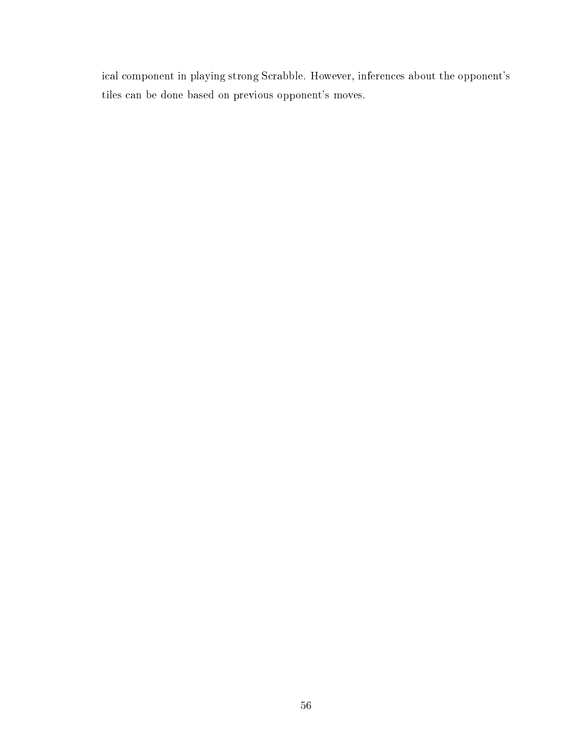i
al omponent in playing strong S
rabble. However, inferen
es about the opponent's tiles an be done based on previous opponent's moves.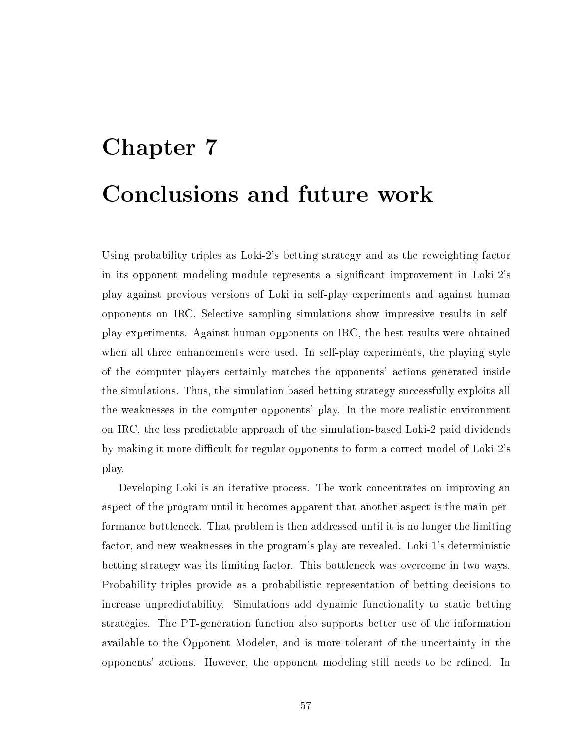# Chapter 7 Con
lusions and future work

Using probability triples as Loki-2's betting strategy and as the reweighting factor in its opponent modeling module represents a significant improvement in Loki-2's play against previous versions of Loki in self-play experiments and against human opponents on IRC. Sele
tive sampling simulations show impressive results in selfplay experiments. Against human opponents on IRC, the best results were obtained when all three enhan
ements were used. In self-play experiments, the playing style of the omputer players ertainly mat
hes the opponents' a
tions generated inside the simulations. Thus, the simulation-based betting strategy successfully exploits all the weaknesses in the omputer opponents' play. In the more realisti environment on IRC, the less predi
table approa
h of the simulation-based Loki-2 paid dividends by making it more difficult for regular opponents to form a correct model of Loki-2's play.

Developing Loki is an iterative process. The work concentrates on improving an aspect of the program until it becomes apparent that another aspect is the main performan
e bottlene
k. That problem is then addressed until it is no longer the limiting factor, and new weaknesses in the program's play are revealed. Loki-1's deterministic betting strategy was its limiting fa
tor. This bottlene
k was over
ome in two ways. Probability triples provide as a probabilistic representation of betting decisions to increase unpredictability. Simulations add dynamic functionality to static betting strategies. The PT-generation fun
tion also supports better use of the information available to the Opponent Modeler, and is more tolerant of the un
ertainty in the opponents' a
tions. However, the opponent modeling still needs to be rened. In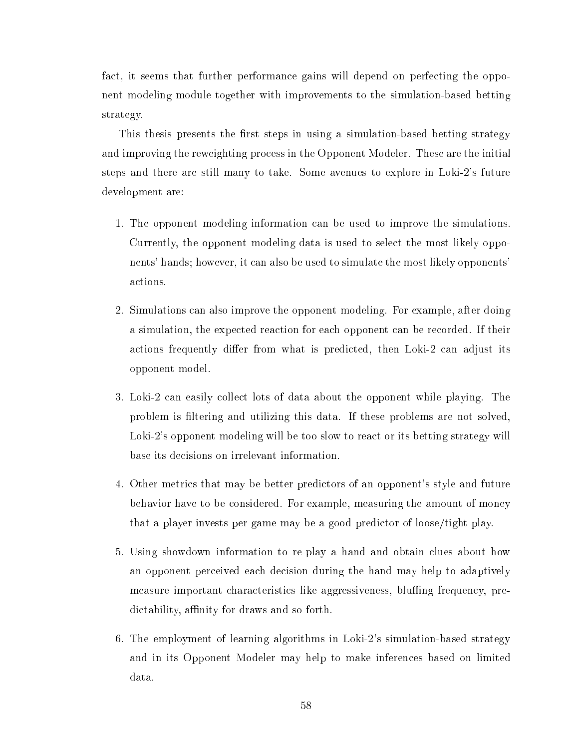fact, it seems that further performance gains will depend on perfecting the opponent modeling module together with improvements to the simulation-based betting strategy.

This thesis presents the first steps in using a simulation-based betting strategy and improving the reweighting pro
ess in the Opponent Modeler. These are the initial steps and there are still many to take. Some avenues to explore in Loki-2's future development are:

- 1. The opponent modeling information an be used to improve the simulations. Currently, the opponent modeling data is used to sele
t the most likely opponents' hands; however, it an also be used to simulate the most likely opponents' a
tions.
- 2. Simulations an also improve the opponent modeling. For example, after doing a simulation, the expected reaction for each opponent can be recorded. If their actions frequently differ from what is predicted, then Loki-2 can adjust its opponent model.
- 3. Loki-2 an easily olle
t lots of data about the opponent while playing. The problem is filtering and utilizing this data. If these problems are not solved, Loki-2's opponent modeling will be too slow to react or its betting strategy will base its de
isions on irrelevant information.
- 4. Other metri
s that may be better predi
tors of an opponent's style and future behavior have to be onsidered. For example, measuring the amount of money that a player invests per game may be a good predi
tor of loose/tight play.
- 5. Using showdown information to re-play a hand and obtain lues about how an opponent per
eived ea
h de
ision during the hand may help to adaptively measure important characteristics like aggressiveness, bluffing frequency, predictability, affinity for draws and so forth.
- 6. The employment of learning algorithms in Loki-2's simulation-based strategy and in its Opponent Modeler may help to make inferen
es based on limited data.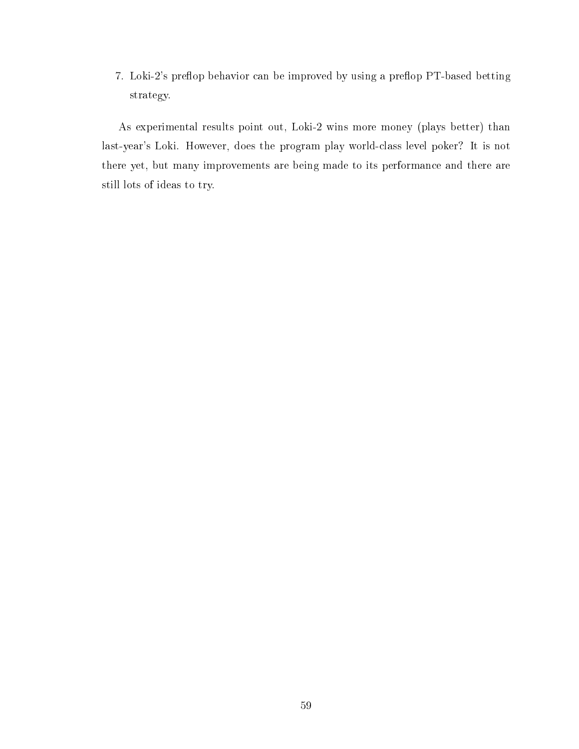7. Loki-2's preflop behavior can be improved by using a preflop PT-based betting strategy.

As experimental results point out, Loki-2 wins more money (plays better) than last-year's Loki. However, does the program play worldlass level poker? It is not there yet, but many improvements are being made to its performan
e and there are still lots of ideas to try.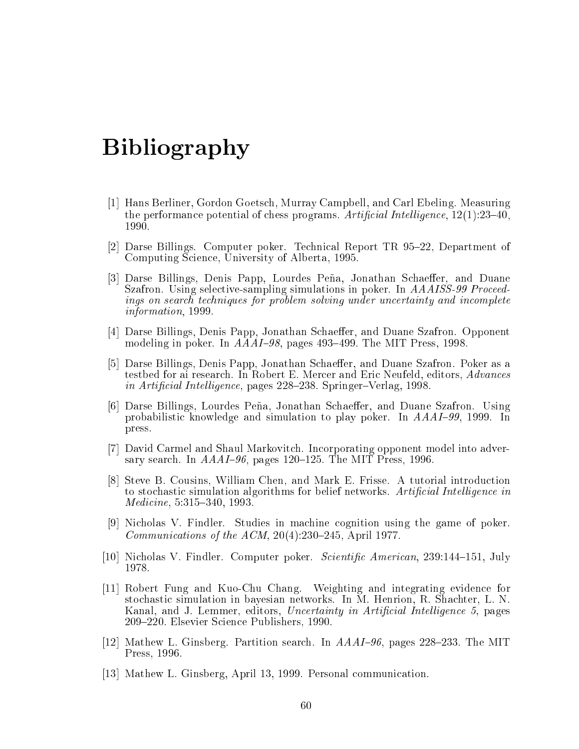## Bibliography

- [1] Hans Berliner, Gordon Goetsch, Murray Campbell, and Carl Ebeling. Measuring the performance potential of chess programs. Artificial Intelligence,  $12(1):23-40$ , 1990.
- [2] Darse Billings. Computer poker. Technical Report TR 95–22, Department of Computing Science, University of Alberta, 1995.
- [3] Darse Billings, Denis Papp, Lourdes Peña, Jonathan Schaeffer, and Duane Szafron. Using selective-sampling simulations in poker. In *AAAISS-99 Proceed*ings on search techniques for problem solving under uncertainty and incomplete information, 1999.
- [4] Darse Billings, Denis Papp, Jonathan Schaeffer, and Duane Szafron. Opponent modeling in poker. In  $AAAI-98$ , pages 493-499. The MIT Press, 1998.
- [5] Darse Billings, Denis Papp, Jonathan Schaeffer, and Duane Szafron. Poker as a testbed for ai resear
h. In Robert E. Mer
er and Eri Neufeld, editors, Advan
es in Artificial Intelligence, pages 228–238. Springer–Verlag, 1998.
- [6] Darse Billings, Lourdes Peña, Jonathan Schaeffer, and Duane Szafron. Using probabilistic knowledge and simulation to play poker. In  $AAAI-99$ , 1999. In press.
- [7] David Carmel and Shaul Markovitch. Incorporating opponent model into adversary search. In  $AAAI-96$ , pages 120-125. The MIT Press, 1996.
- [8] Steve B. Cousins, William Chen, and Mark E. Frisse. A tutorial introduction to stochastic simulation algorithms for belief networks. Artificial Intelligence in  $Medicine, 5:315-340, 1993.$
- [9] Nicholas V. Findler. Studies in machine cognition using the game of poker. Communications of the ACM,  $20(4):230-245$ , April 1977.
- [10] Nicholas V. Findler. Computer poker. *Scientific American*, 239:144–151, July 1978.
- [11] Robert Fung and Kuo-Chu Chang. Weighting and integrating evidence for sto
hasti simulation in bayesian networks. In M. Henrion, R. Sha
hter, L. N. Kanal, and J. Lemmer, editors, Uncertainty in Artificial Intelligence 5, pages 209–220. Elsevier Science Publishers, 1990.
- [12] Mathew L. Ginsberg. Partition search. In  $AAAI-96$ , pages 228–233. The MIT Press, 1996.
- [13] Mathew L. Ginsberg, April 13, 1999. Personal communication.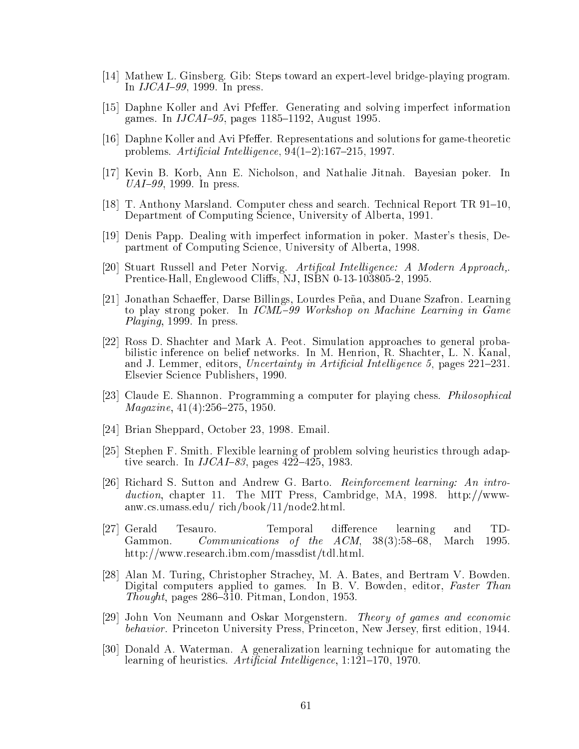- [14] Mathew L. Ginsberg. Gib: Steps toward an expert-level bridge-playing program. In  $IJCAI-99$ , 1999. In press.
- [15] Daphne Koller and Avi Pfeffer. Generating and solving imperfect information games. In  $IJCAI-95$ , pages 1185-1192, August 1995.
- [16] Daphne Koller and Avi Pfeffer. Representations and solutions for game-theoretic problems. Artificial Intelligence,  $94(1-2)$ :167-215, 1997.
- [17] Kevin B. Korb, Ann E. Nicholson, and Nathalie Jitnah. Bayesian poker. In  $UAI-99$ , 1999. In press.
- [18] T. Anthony Marsland. Computer chess and search. Technical Report TR 91–10, Department of Computing Science, University of Alberta, 1991.
- [19] Denis Papp. Dealing with imperfect information in poker. Master's thesis, Department of Computing S
ien
e, University of Alberta, 1998.
- [20] Stuart Russell and Peter Norvig. Artifical Intelligence: A Modern Approach,. Prentice-Hall, Englewood Cliffs, NJ, ISBN 0-13-103805-2, 1995.
- [21] Jonathan Schaeffer, Darse Billings, Lourdes Peña, and Duane Szafron. Learning to play strong poker. In *ICML-99 Workshop on Machine Learning in Game* Playing, 1999. In press.
- [22] Ross D. Shachter and Mark A. Peot. Simulation approaches to general probabilisti inferen
e on belief networks. In M. Henrion, R. Sha
hter, L. N. Kanal, and J. Lemmer, editors, Uncertainty in Artificial Intelligence 5, pages  $221-231$ . Elsevier S
ien
e Publishers, 1990.
- [23] Claude E. Shannon. Programming a computer for playing chess. *Philosophical*  $Magazine, 41(4):256-275, 1950.$
- [24] Brian Sheppard, October 23, 1998. Email.
- [25] Stephen F. Smith. Flexible learning of problem solving heuristics through adaptive search. In  $IJCAI-83$ , pages  $42\overline{2}-425$ , 1983.
- [26] Richard S. Sutton and Andrew G. Barto. *Reinforcement learning: An intro*duction, chapter 11. The MIT Press, Cambridge, MA, 1998. http://wwwanw.
s.umass.edu/ ri
h/book/11/node2.html.
- [27] Gerald Tesauro. Temporal difference learning and TD-Gammon. Communications of the  $ACM$ ,  $38(3):58-68$ , March 1995. http://www.resear
h.ibm.
om/massdist/tdl.html.
- [28] Alan M. Turing, Christopher Strachey, M. A. Bates, and Bertram V. Bowden. Digital computers applied to games. In B. V. Bowden, editor, Faster Than Thought, pages  $286-310$ . Pitman, London, 1953.
- [29] John Von Neumann and Oskar Morgenstern. Theory of games and economic behavior. Princeton University Press, Princeton, New Jersey, first edition, 1944.
- [30] Donald A. Waterman. A generalization learning technique for automating the learning of heuristics. Artificial Intelligence, 1:121-170, 1970.